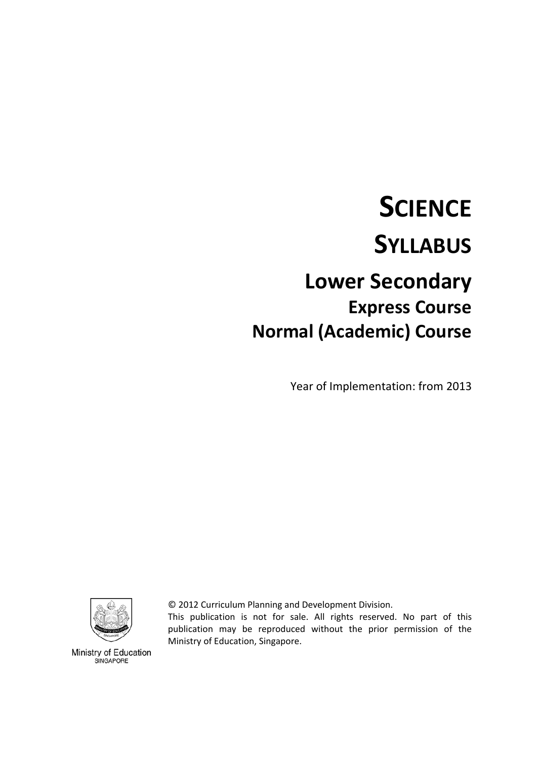# **SCIENCE SYLLABUS Lower Secondary Express Course**

**Normal (Academic) Course** 

Year of Implementation: from 2013

© 2012 Curriculum Planning and Development Division.

This publication is not for sale. All rights reserved. No part of this publication may be reproduced without the prior permission of the Ministry of Education, Singapore.



Ministry of Education SINGAPORE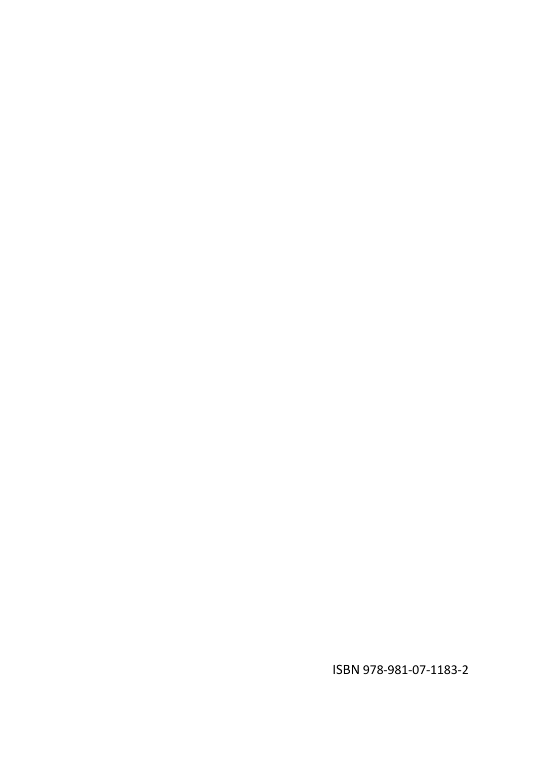ISBN 978‐981‐07‐1183‐2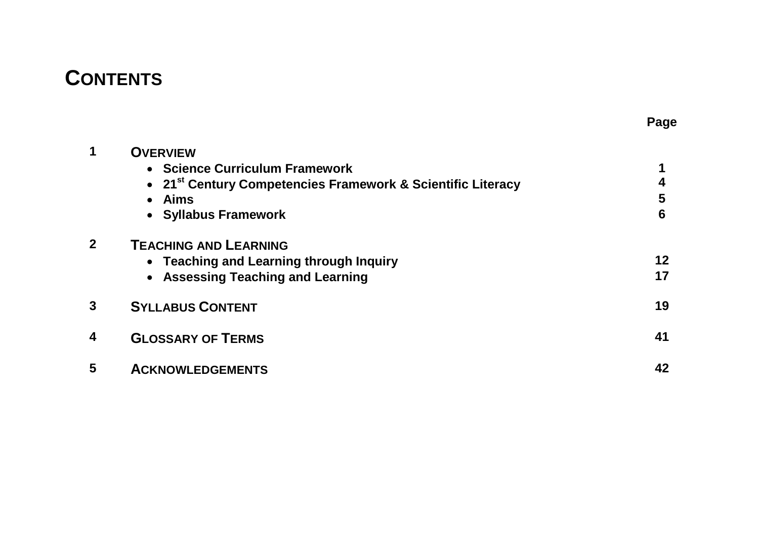## **CONTENTS**

| 1            | <b>OVERVIEW</b>                                                         |    |
|--------------|-------------------------------------------------------------------------|----|
|              | • Science Curriculum Framework                                          |    |
|              | • 21 <sup>st</sup> Century Competencies Framework & Scientific Literacy |    |
|              | <b>Aims</b><br>$\bullet$                                                | 5  |
|              | • Syllabus Framework                                                    | 6  |
| $\mathbf{2}$ | <b>TEACHING AND LEARNING</b>                                            |    |
|              | • Teaching and Learning through Inquiry                                 | 12 |
|              | • Assessing Teaching and Learning                                       | 17 |
| 3            | <b>SYLLABUS CONTENT</b>                                                 | 19 |
| 4            | <b>GLOSSARY OF TERMS</b>                                                | 41 |
| 5            | <b>ACKNOWLEDGEMENTS</b>                                                 | 42 |

**Page**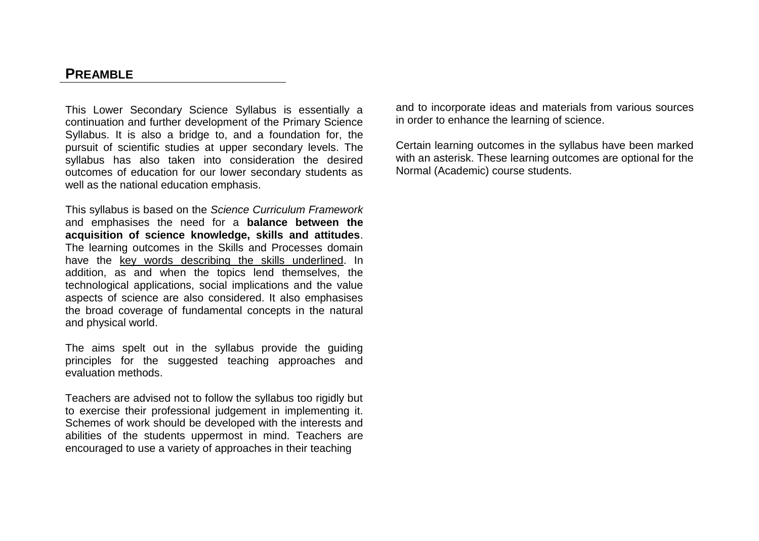### **PREAMBLE**

This Lower Secondary Science Syllabus is essentially a continuation and further development of the Primary Science Syllabus. It is also a bridge to, and a foundation for, the pursuit of scientific studies at upper secondary levels. The syllabus has also taken into consideration the desired outcomes of education for our lower secondary students as well as the national education emphasis.

This syllabus is based on the *Science Curriculum Framework* and emphasises the need for a **balance between the acquisition of science knowledge, skills and attitudes**. The learning outcomes in the Skills and Processes domain have the key words describing the skills underlined. In addition, as and when the topics lend themselves, the technological applications, social implications and the value aspects of science are also considered. It also emphasises the broad coverage of fundamental concepts in the natural and physical world.

The aims spelt out in the syllabus provide the guiding principles for the suggested teaching approaches and evaluation methods.

Teachers are advised not to follow the syllabus too rigidly but to exercise their professional judgement in implementing it. Schemes of work should be developed with the interests and abilities of the students uppermost in mind. Teachers are encouraged to use a variety of approaches in their teaching

and to incorporate ideas and materials from various sources in order to enhance the learning of science.

Certain learning outcomes in the syllabus have been marked with an asterisk. These learning outcomes are optional for the Normal (Academic) course students.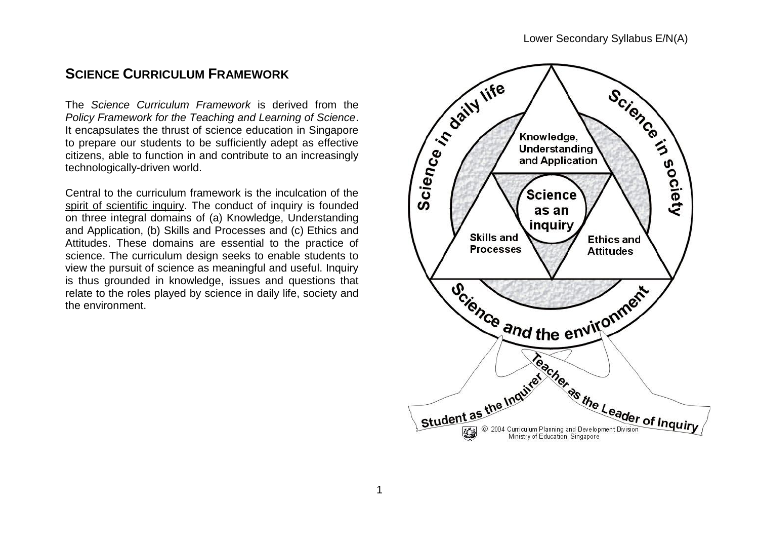### **SCIENCE CURRICULUM FRAMEWORK**

The *Science Curriculum Framework* is derived from the *Policy Framework for the Teaching and Learning of Science*. It encapsulates the thrust of science education in Singapore to prepare our students to be sufficiently adept as effective citizens, able to function in and contribute to an increasingly technologically-driven world.

Central to the curriculum framework is the inculcation of the spirit of scientific inquiry. The conduct of inquiry is founded on three integral domains of (a) Knowledge, Understanding and Application, (b) Skills and Processes and (c) Ethics and Attitudes. These domains are essential to the practice of science. The curriculum design seeks to enable students to view the pursuit of science as meaningful and useful. Inquiry is thus grounded in knowledge, issues and questions that relate to the roles played by science in daily life, society and the environment.

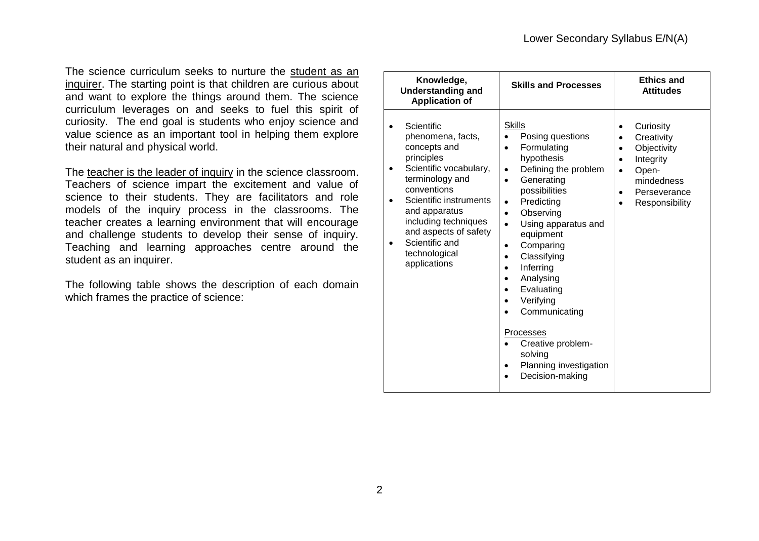The science curriculum seeks to nurture the student as an inquirer. The starting point is that children are curious about and want to explore the things around them. The science curriculum leverages on and seeks to fuel this spirit of curiosity. The end goal is students who enjoy science and value science as an important tool in helping them explore their natural and physical world.

The teacher is the leader of inquiry in the science classroom. Teachers of science impart the excitement and value of science to their students. They are facilitators and role models of the inquiry process in the classrooms. The teacher creates a learning environment that will encourage and challenge students to develop their sense of inquiry. Teaching and learning approaches centre around the student as an inquirer.

The following table shows the description of each domain which frames the practice of science:

| Knowledge,<br><b>Understanding and</b><br><b>Application of</b>                                                                                                                                                                                                          | <b>Skills and Processes</b>                                                                                                                                                                                                                                                                                                                                                                                                                                                                                                                       | <b>Ethics and</b><br><b>Attitudes</b>                                                                                                       |
|--------------------------------------------------------------------------------------------------------------------------------------------------------------------------------------------------------------------------------------------------------------------------|---------------------------------------------------------------------------------------------------------------------------------------------------------------------------------------------------------------------------------------------------------------------------------------------------------------------------------------------------------------------------------------------------------------------------------------------------------------------------------------------------------------------------------------------------|---------------------------------------------------------------------------------------------------------------------------------------------|
| Scientific<br>phenomena, facts,<br>concepts and<br>principles<br>Scientific vocabulary,<br>terminology and<br>conventions<br>Scientific instruments<br>and apparatus<br>including techniques<br>and aspects of safety<br>Scientific and<br>technological<br>applications | <b>Skills</b><br>Posing questions<br>$\bullet$<br>Formulating<br>$\bullet$<br>hypothesis<br>Defining the problem<br>$\bullet$<br>Generating<br>$\bullet$<br>possibilities<br>Predicting<br>$\bullet$<br>Observing<br>$\bullet$<br>Using apparatus and<br>$\bullet$<br>equipment<br>Comparing<br>$\bullet$<br>Classifying<br>$\bullet$<br>Inferring<br>Analysing<br>$\bullet$<br>Evaluating<br>$\bullet$<br>Verifying<br>$\bullet$<br>Communicating<br>Processes<br>Creative problem-<br>solving<br>Planning investigation<br>٠<br>Decision-making | Curiosity<br>Creativity<br>$\bullet$<br>Objectivity<br>Integrity<br>Open-<br>$\bullet$<br>mindedness<br>Perseverance<br>٠<br>Responsibility |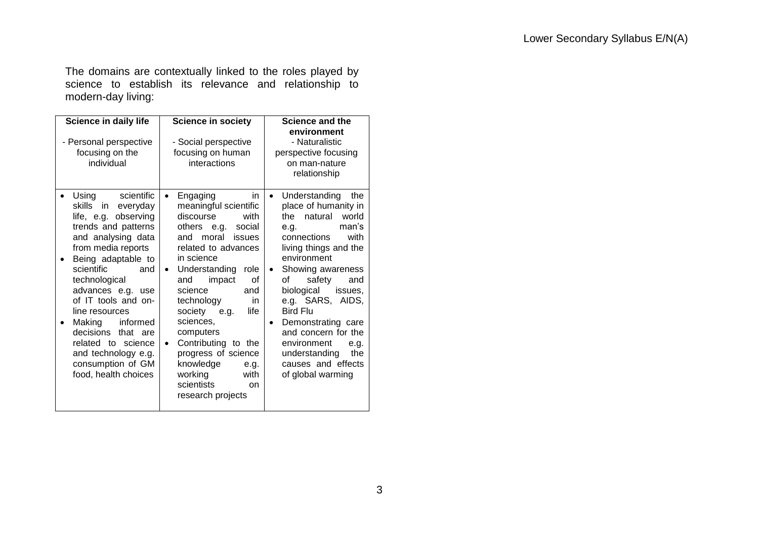The domains are contextually linked to the roles played by science to establish its relevance and relationship to modern-day living:

| Science in daily life<br>- Personal perspective<br>focusing on the<br>individual                                                                                                                                                                                                                                                                                                                               | <b>Science in society</b><br>- Social perspective<br>focusing on human<br>interactions                                                                                                                                                                                                                                                                                                                                                                               | <b>Science and the</b><br>environment<br>- Naturalistic<br>perspective focusing<br>on man-nature<br>relationship                                                                                                                                                                                                                                                                                                                  |
|----------------------------------------------------------------------------------------------------------------------------------------------------------------------------------------------------------------------------------------------------------------------------------------------------------------------------------------------------------------------------------------------------------------|----------------------------------------------------------------------------------------------------------------------------------------------------------------------------------------------------------------------------------------------------------------------------------------------------------------------------------------------------------------------------------------------------------------------------------------------------------------------|-----------------------------------------------------------------------------------------------------------------------------------------------------------------------------------------------------------------------------------------------------------------------------------------------------------------------------------------------------------------------------------------------------------------------------------|
| scientific<br>Using<br>skills<br>in.<br>everyday<br>life, e.g. observing<br>trends and patterns<br>and analysing data<br>from media reports<br>Being adaptable to<br>scientific<br>and<br>technological<br>advances e.g. use<br>of IT tools and on-<br>line resources<br>Making<br>informed<br>decisions<br>that are<br>related to science<br>and technology e.g.<br>consumption of GM<br>food, health choices | Engaging<br>in.<br>$\bullet$<br>meaningful scientific<br>discourse<br>with<br>others e.g.<br>social<br>moral<br>issues<br>and<br>related to advances<br>in science<br>Understanding<br>role<br>$\bullet$<br>impact<br>οf<br>and<br>science<br>and<br>technology<br>in<br>life<br>society e.g.<br>sciences,<br>computers<br>Contributing to the<br>$\bullet$<br>progress of science<br>knowledge<br>e.g.<br>working<br>with<br>scientists<br>on.<br>research projects | Understanding<br>the<br>$\bullet$<br>place of humanity in<br>the natural<br>world<br>man's<br>e.g.<br>connections<br>with<br>living things and the<br>environment<br>Showing awareness<br>$\bullet$<br>of<br>safety<br>and<br>biological<br>issues,<br>e.g. SARS, AIDS,<br><b>Bird Flu</b><br>Demonstrating care<br>and concern for the<br>environment<br>e.g.<br>the<br>understanding<br>causes and effects<br>of global warming |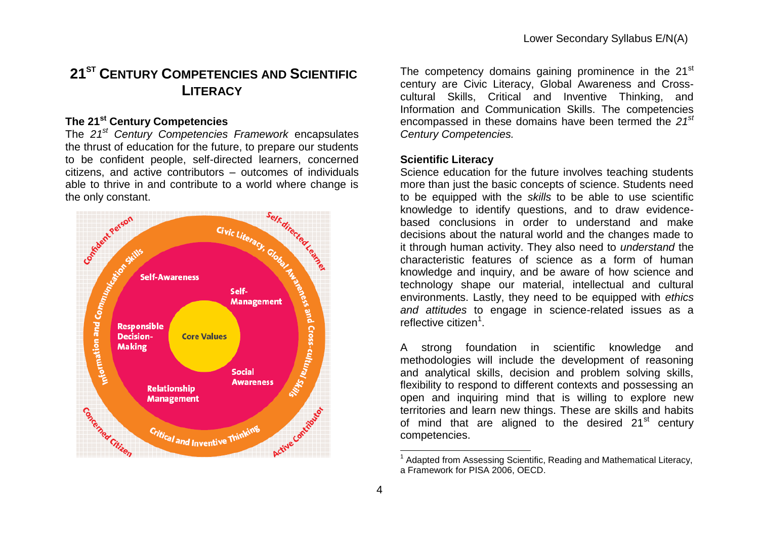### **21ST CENTURY COMPETENCIES AND SCIENTIFIC LITERACY**

### **The 21st Century Competencies**

The *21st Century Competencies Framework* encapsulates the thrust of education for the future, to prepare our students to be confident people, self-directed learners, concerned citizens, and active contributors – outcomes of individuals able to thrive in and contribute to a world where change is the only constant.



The competency domains gaining prominence in the 21<sup>st</sup> century are Civic Literacy, Global Awareness and Crosscultural Skills, Critical and Inventive Thinking, and Information and Communication Skills. The competencies encompassed in these domains have been termed the *21st Century Competencies.*

### **Scientific Literacy**

Science education for the future involves teaching students more than just the basic concepts of science. Students need to be equipped with the *skills* to be able to use scientific knowledge to identify questions, and to draw evidencebased conclusions in order to understand and make decisions about the natural world and the changes made to it through human activity. They also need to *understand* the characteristic features of science as a form of human knowledge and inquiry, and be aware of how science and technology shape our material, intellectual and cultural environments. Lastly, they need to be equipped with *ethics and attitudes* to engage in science-related issues as a reflective citizen<sup>1</sup>.

A strong foundation in scientific knowledge and methodologies will include the development of reasoning and analytical skills, decision and problem solving skills, flexibility to respond to different contexts and possessing an open and inquiring mind that is willing to explore new territories and learn new things. These are skills and habits of mind that are aligned to the desired  $21<sup>st</sup>$  century competencies.

1

<sup>&</sup>lt;sup>1</sup> Adapted from Assessing Scientific, Reading and Mathematical Literacy, a Framework for PISA 2006, OECD.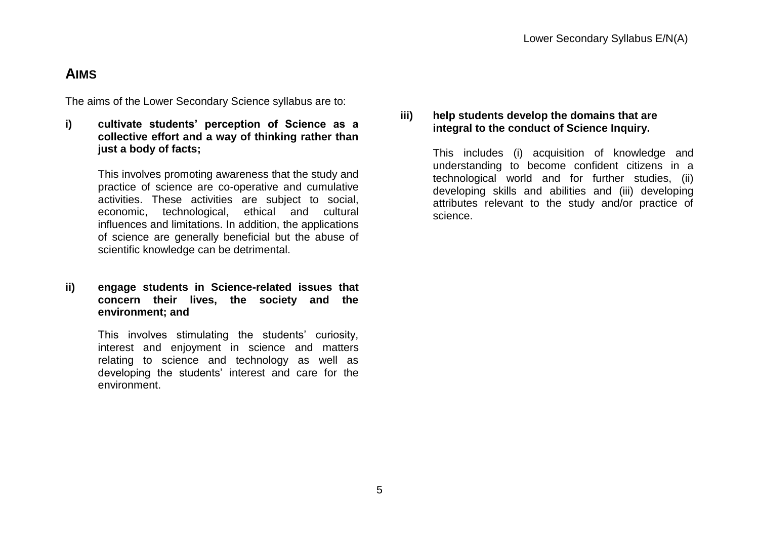### **AIMS**

The aims of the Lower Secondary Science syllabus are to:

**i) cultivate students' perception of Science as a collective effort and a way of thinking rather than just a body of facts;** 

> This involves promoting awareness that the study and practice of science are co-operative and cumulative activities. These activities are subject to social, economic, technological, ethical and cultural influences and limitations. In addition, the applications of science are generally beneficial but the abuse of scientific knowledge can be detrimental.

### **ii) engage students in Science-related issues that concern their lives, the society and the environment; and**

This involves stimulating the students' curiosity, interest and enjoyment in science and matters relating to science and technology as well as developing the students' interest and care for the environment.

### **iii) help students develop the domains that are integral to the conduct of Science Inquiry.**

This includes (i) acquisition of knowledge and understanding to become confident citizens in a technological world and for further studies, (ii) developing skills and abilities and (iii) developing attributes relevant to the study and/or practice of science.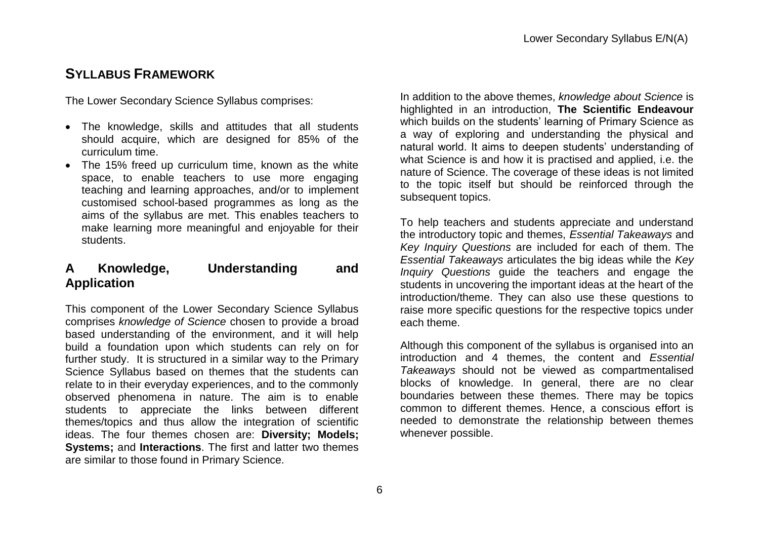### **SYLLABUS FRAMEWORK**

The Lower Secondary Science Syllabus comprises:

- The knowledge, skills and attitudes that all students should acquire, which are designed for 85% of the curriculum time.
- The 15% freed up curriculum time, known as the white space, to enable teachers to use more engaging teaching and learning approaches, and/or to implement customised school-based programmes as long as the aims of the syllabus are met. This enables teachers to make learning more meaningful and enjoyable for their students.

### **A Knowledge, Understanding and Application**

This component of the Lower Secondary Science Syllabus comprises *knowledge of Science* chosen to provide a broad based understanding of the environment, and it will help build a foundation upon which students can rely on for further study. It is structured in a similar way to the Primary Science Syllabus based on themes that the students can relate to in their everyday experiences, and to the commonly observed phenomena in nature. The aim is to enable students to appreciate the links between different themes/topics and thus allow the integration of scientific ideas. The four themes chosen are: **Diversity; Models; Systems;** and **Interactions**. The first and latter two themes are similar to those found in Primary Science.

In addition to the above themes, *knowledge about Science* is highlighted in an introduction, **The Scientific Endeavour** which builds on the students' learning of Primary Science as a way of exploring and understanding the physical and natural world. It aims to deepen students" understanding of what Science is and how it is practised and applied, i.e. the nature of Science. The coverage of these ideas is not limited to the topic itself but should be reinforced through the subsequent topics.

To help teachers and students appreciate and understand the introductory topic and themes, *Essential Takeaways* and *Key Inquiry Questions* are included for each of them. The *Essential Takeaways* articulates the big ideas while the *Key Inquiry Questions* guide the teachers and engage the students in uncovering the important ideas at the heart of the introduction/theme. They can also use these questions to raise more specific questions for the respective topics under each theme.

Although this component of the syllabus is organised into an introduction and 4 themes, the content and *Essential Takeaways* should not be viewed as compartmentalised blocks of knowledge. In general, there are no clear boundaries between these themes. There may be topics common to different themes. Hence, a conscious effort is needed to demonstrate the relationship between themes whenever possible.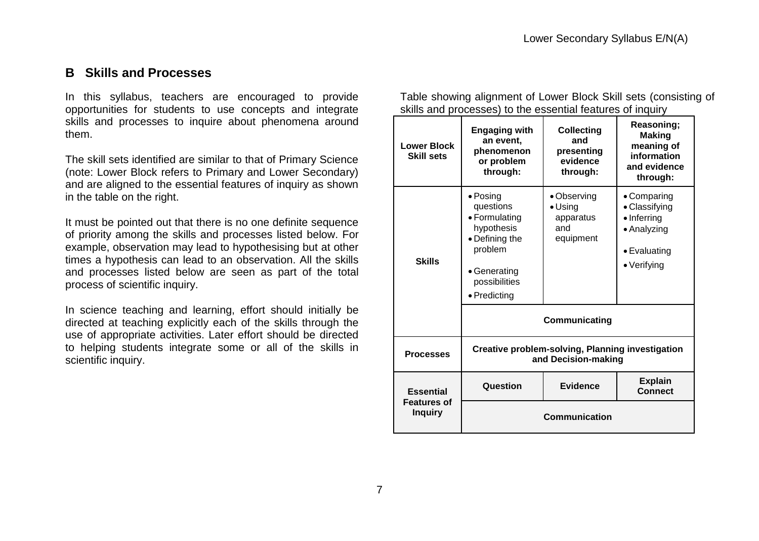### **B Skills and Processes**

In this syllabus, teachers are encouraged to provide opportunities for students to use concepts and integrate skills and processes to inquire about phenomena around them.

The skill sets identified are similar to that of Primary Science (note: Lower Block refers to Primary and Lower Secondary) and are aligned to the essential features of inquiry as shown in the table on the right.

It must be pointed out that there is no one definite sequence of priority among the skills and processes listed below. For example, observation may lead to hypothesising but at other times a hypothesis can lead to an observation. All the skills and processes listed below are seen as part of the total process of scientific inquiry.

In science teaching and learning, effort should initially be directed at teaching explicitly each of the skills through the use of appropriate activities. Later effort should be directed to helping students integrate some or all of the skills in scientific inquiry.

Table showing alignment of Lower Block Skill sets (consisting of skills and processes) to the essential features of inquiry

| <b>Lower Block</b><br><b>Skill sets</b> | <b>Engaging with</b><br>an event,<br>phenomenon<br>or problem<br>through:                                                                  | <b>Collecting</b><br>and<br>presenting<br>evidence<br>through:                   | Reasoning;<br><b>Making</b><br>meaning of<br>information<br>and evidence<br>through:                      |
|-----------------------------------------|--------------------------------------------------------------------------------------------------------------------------------------------|----------------------------------------------------------------------------------|-----------------------------------------------------------------------------------------------------------|
| <b>Skills</b>                           | $\bullet$ Posing<br>questions<br>• Formulating<br>hypothesis<br>• Defining the<br>problem<br>• Generating<br>possibilities<br>• Predicting | • Observing<br>$\bullet$ Using<br>apparatus<br>and<br>equipment<br>Communicating | • Comparing<br>• Classifying<br>$\bullet$ Inferring<br>• Analyzing<br>• Evaluating<br>$\bullet$ Verifying |
|                                         |                                                                                                                                            |                                                                                  |                                                                                                           |
| <b>Processes</b>                        | <b>Creative problem-solving, Planning investigation</b><br>and Decision-making                                                             |                                                                                  |                                                                                                           |
| <b>Essential</b>                        | Question                                                                                                                                   | <b>Evidence</b>                                                                  | <b>Explain</b><br><b>Connect</b>                                                                          |
| <b>Features of</b><br><b>Inquiry</b>    |                                                                                                                                            | <b>Communication</b>                                                             |                                                                                                           |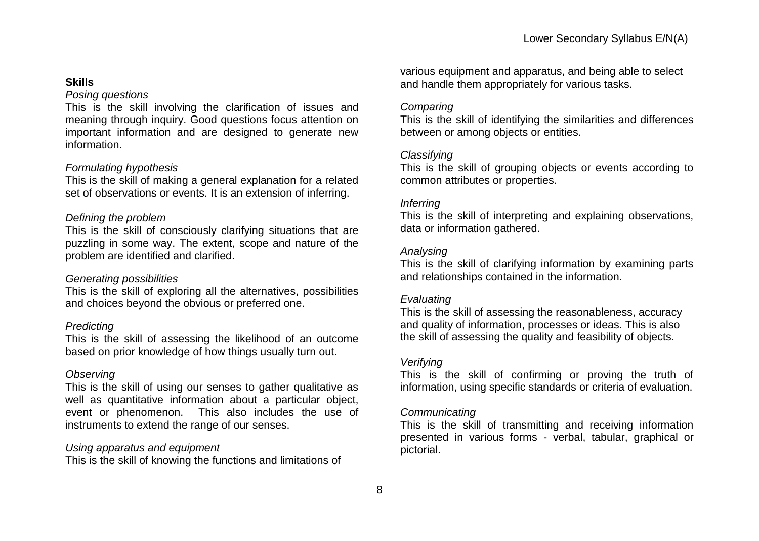### **Skills**

### *Posing questions*

This is the skill involving the clarification of issues and meaning through inquiry. Good questions focus attention on important information and are designed to generate new information.

### *Formulating hypothesis*

This is the skill of making a general explanation for a related set of observations or events. It is an extension of inferring.

### *Defining the problem*

This is the skill of consciously clarifying situations that are puzzling in some way. The extent, scope and nature of the problem are identified and clarified.

### *Generating possibilities*

This is the skill of exploring all the alternatives, possibilities and choices beyond the obvious or preferred one.

#### *Predicting*

This is the skill of assessing the likelihood of an outcome based on prior knowledge of how things usually turn out.

#### *Observing*

This is the skill of using our senses to gather qualitative as well as quantitative information about a particular object, event or phenomenon. This also includes the use of instruments to extend the range of our senses.

#### *Using apparatus and equipment*

This is the skill of knowing the functions and limitations of

various equipment and apparatus, and being able to select and handle them appropriately for various tasks.

### *Comparing*

This is the skill of identifying the similarities and differences between or among objects or entities.

### *Classifying*

This is the skill of grouping objects or events according to common attributes or properties.

### *Inferring*

This is the skill of interpreting and explaining observations, data or information gathered.

### *Analysing*

This is the skill of clarifying information by examining parts and relationships contained in the information.

### *Evaluating*

This is the skill of assessing the reasonableness, accuracy and quality of information, processes or ideas. This is also the skill of assessing the quality and feasibility of objects.

### *Verifying*

This is the skill of confirming or proving the truth of information, using specific standards or criteria of evaluation.

### *Communicating*

This is the skill of transmitting and receiving information presented in various forms - verbal, tabular, graphical or pictorial.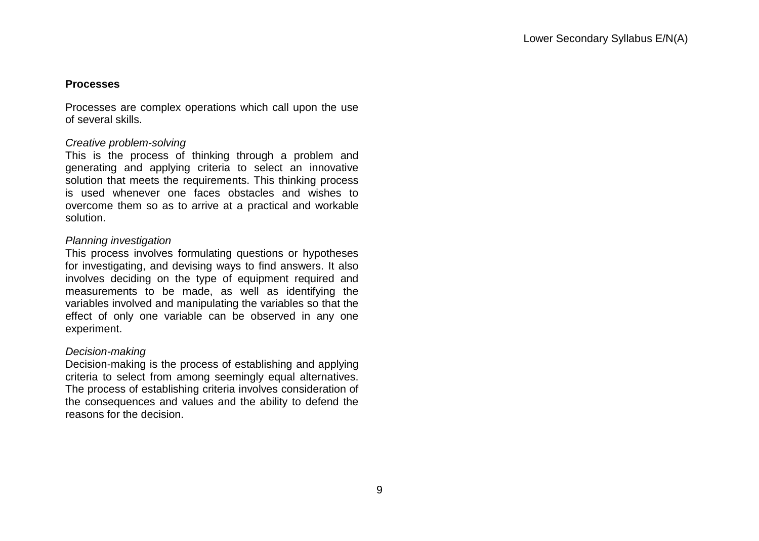### **Processes**

Processes are complex operations which call upon the use of several skills.

### *Creative problem-solving*

This is the process of thinking through a problem and generating and applying criteria to select an innovative solution that meets the requirements. This thinking process is used whenever one faces obstacles and wishes to overcome them so as to arrive at a practical and workable solution.

### *Planning investigation*

This process involves formulating questions or hypotheses for investigating, and devising ways to find answers. It also involves deciding on the type of equipment required and measurements to be made, as well as identifying the variables involved and manipulating the variables so that the effect of only one variable can be observed in any one experiment.

#### *Decision-making*

Decision-making is the process of establishing and applying criteria to select from among seemingly equal alternatives. The process of establishing criteria involves consideration of the consequences and values and the ability to defend the reasons for the decision.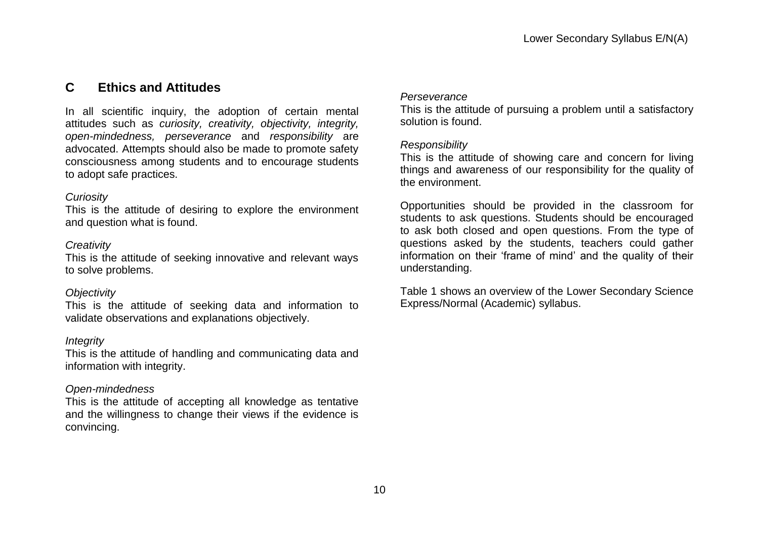### **C Ethics and Attitudes**

In all scientific inquiry, the adoption of certain mental attitudes such as *curiosity, creativity, objectivity, integrity, open-mindedness, perseverance* and *responsibility* are advocated. Attempts should also be made to promote safety consciousness among students and to encourage students to adopt safe practices.

### *Curiosity*

This is the attitude of desiring to explore the environment and question what is found.

### *Creativity*

This is the attitude of seeking innovative and relevant ways to solve problems.

### *Objectivity*

This is the attitude of seeking data and information to validate observations and explanations objectively.

### *Integrity*

This is the attitude of handling and communicating data and information with integrity.

### *Open-mindedness*

This is the attitude of accepting all knowledge as tentative and the willingness to change their views if the evidence is convincing.

### *Perseverance*

This is the attitude of pursuing a problem until a satisfactory solution is found.

### *Responsibility*

This is the attitude of showing care and concern for living things and awareness of our responsibility for the quality of the environment.

Opportunities should be provided in the classroom for students to ask questions. Students should be encouraged to ask both closed and open questions. From the type of questions asked by the students, teachers could gather information on their "frame of mind" and the quality of their understanding.

Table 1 shows an overview of the Lower Secondary Science Express/Normal (Academic) syllabus.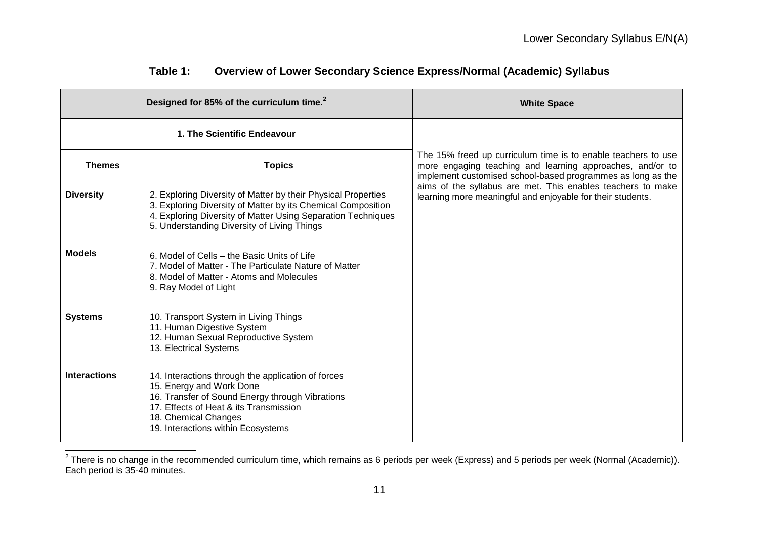| Designed for 85% of the curriculum time. <sup>2</sup> |                                                                                                                                                                                                                                              | <b>White Space</b>                                                                                                                                                                        |  |
|-------------------------------------------------------|----------------------------------------------------------------------------------------------------------------------------------------------------------------------------------------------------------------------------------------------|-------------------------------------------------------------------------------------------------------------------------------------------------------------------------------------------|--|
|                                                       | 1. The Scientific Endeavour                                                                                                                                                                                                                  |                                                                                                                                                                                           |  |
| <b>Themes</b>                                         | <b>Topics</b>                                                                                                                                                                                                                                | The 15% freed up curriculum time is to enable teachers to use<br>more engaging teaching and learning approaches, and/or to<br>implement customised school-based programmes as long as the |  |
| <b>Diversity</b>                                      | 2. Exploring Diversity of Matter by their Physical Properties<br>3. Exploring Diversity of Matter by its Chemical Composition<br>4. Exploring Diversity of Matter Using Separation Techniques<br>5. Understanding Diversity of Living Things | aims of the syllabus are met. This enables teachers to make<br>learning more meaningful and enjoyable for their students.                                                                 |  |
| <b>Models</b>                                         | 6. Model of Cells – the Basic Units of Life<br>7. Model of Matter - The Particulate Nature of Matter<br>8. Model of Matter - Atoms and Molecules<br>9. Ray Model of Light                                                                    |                                                                                                                                                                                           |  |
| <b>Systems</b>                                        | 10. Transport System in Living Things<br>11. Human Digestive System<br>12. Human Sexual Reproductive System<br>13. Electrical Systems                                                                                                        |                                                                                                                                                                                           |  |
| <b>Interactions</b>                                   | 14. Interactions through the application of forces<br>15. Energy and Work Done<br>16. Transfer of Sound Energy through Vibrations<br>17. Effects of Heat & its Transmission<br>18. Chemical Changes<br>19. Interactions within Ecosystems    |                                                                                                                                                                                           |  |

### **Table 1: Overview of Lower Secondary Science Express/Normal (Academic) Syllabus**

 2 There is no change in the recommended curriculum time, which remains as 6 periods per week (Express) and 5 periods per week (Normal (Academic)). Each period is 35-40 minutes.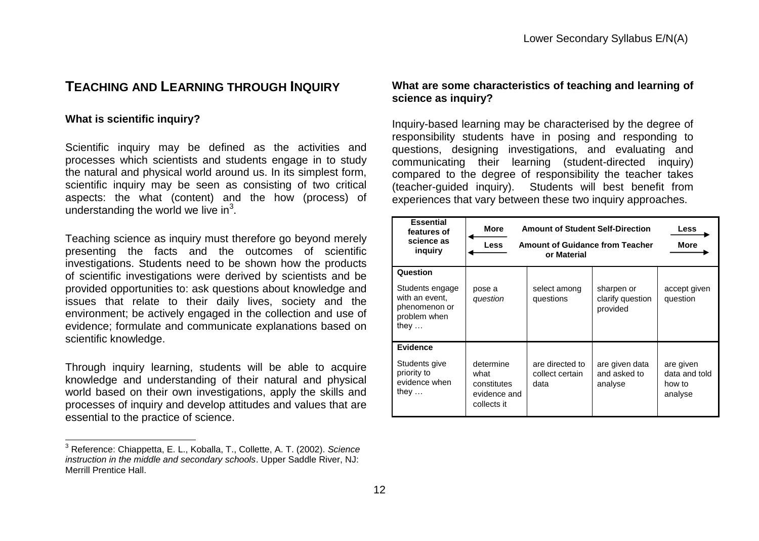### **TEACHING AND LEARNING THROUGH INQUIRY**

#### **What is scientific inquiry?**

 $\overline{\phantom{a}}$ 

Scientific inquiry may be defined as the activities and processes which scientists and students engage in to study the natural and physical world around us. In its simplest form, scientific inquiry may be seen as consisting of two critical aspects: the what (content) and the how (process) of understanding the world we live in $3$ .

Teaching science as inquiry must therefore go beyond merely presenting the facts and the outcomes of scientific investigations. Students need to be shown how the products of scientific investigations were derived by scientists and be provided opportunities to: ask questions about knowledge and issues that relate to their daily lives, society and the environment; be actively engaged in the collection and use of evidence; formulate and communicate explanations based on scientific knowledge.

Through inquiry learning, students will be able to acquire knowledge and understanding of their natural and physical world based on their own investigations, apply the skills and processes of inquiry and develop attitudes and values that are essential to the practice of science.

### **What are some characteristics of teaching and learning of science as inquiry?**

Inquiry-based learning may be characterised by the degree of responsibility students have in posing and responding to questions, designing investigations, and evaluating and communicating their learning (student-directed inquiry) compared to the degree of responsibility the teacher takes (teacher-guided inquiry). Students will best benefit from experiences that vary between these two inquiry approaches.

| <b>Essential</b><br>features of<br>science as<br>inguiry                                       | <b>Amount of Student Self-Direction</b><br>More<br><b>Amount of Guidance from Teacher</b><br><b>Less</b><br>or Material |                                            | <b>Less</b><br><b>More</b>                 |                                                 |
|------------------------------------------------------------------------------------------------|-------------------------------------------------------------------------------------------------------------------------|--------------------------------------------|--------------------------------------------|-------------------------------------------------|
| Question<br>Students engage<br>with an event,<br>phenomenon or<br>problem when<br>they $\dots$ | pose a<br>question                                                                                                      | select among<br>questions                  | sharpen or<br>clarify question<br>provided | accept given<br>question                        |
| <b>Evidence</b><br>Students give<br>priority to<br>evidence when<br>they $\dots$               | determine<br>what<br>constitutes<br>evidence and<br>collects it                                                         | are directed to<br>collect certain<br>data | are given data<br>and asked to<br>analyse  | are given<br>data and told<br>how to<br>analyse |

<sup>3</sup> Reference: Chiappetta, E. L., Koballa, T., Collette, A. T. (2002). *Science instruction in the middle and secondary schools*. Upper Saddle River, NJ: Merrill Prentice Hall.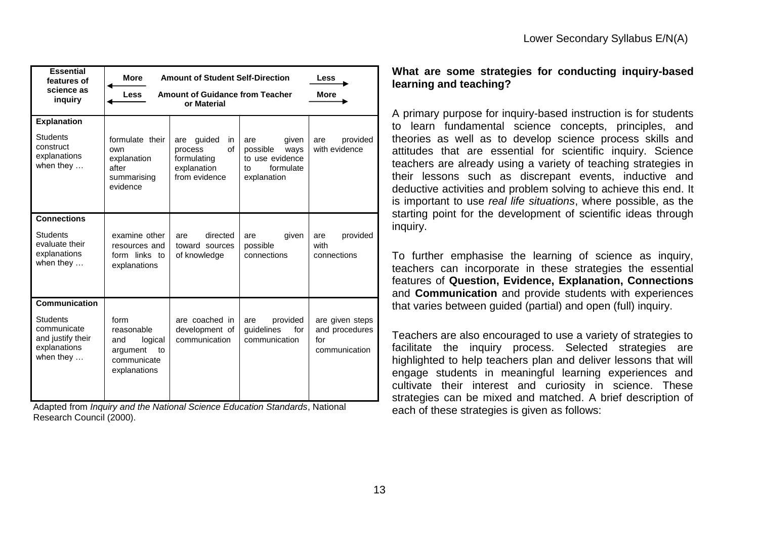| <b>Essential</b><br>features of<br>science as<br>inquiry                                                         | <b>More</b><br><b>Amount of Student Self-Direction</b><br>Less<br><b>Amount of Guidance from Teacher</b><br><b>More</b><br><b>Less</b><br>or Material |                                                                                     |                                                                                       |                                                           |
|------------------------------------------------------------------------------------------------------------------|-------------------------------------------------------------------------------------------------------------------------------------------------------|-------------------------------------------------------------------------------------|---------------------------------------------------------------------------------------|-----------------------------------------------------------|
| <b>Explanation</b><br><b>Students</b><br>construct<br>explanations<br>when they $\dots$                          | formulate their<br>own<br>explanation<br>after<br>summarising<br>evidence                                                                             | guided<br>in<br>are<br>of<br>process<br>formulating<br>explanation<br>from evidence | given<br>are<br>possible<br>ways<br>to use evidence<br>formulate<br>t٥<br>explanation | provided<br>are<br>with evidence                          |
| <b>Connections</b><br><b>Students</b><br>evaluate their<br>explanations<br>when they $\dots$                     | examine other<br>resources and<br>form links to<br>explanations                                                                                       | directed<br>are<br>toward sources<br>of knowledge                                   | given<br>are<br>possible<br>connections                                               | provided<br>are<br>with<br>connections                    |
| <b>Communication</b><br><b>Students</b><br>communicate<br>and justify their<br>explanations<br>when they $\dots$ | form<br>reasonable<br>logical<br>and<br>argument<br>to<br>communicate<br>explanations                                                                 | are coached in<br>development of<br>communication                                   | provided<br>are<br>guidelines<br>for<br>communication                                 | are given steps<br>and procedures<br>for<br>communication |

Adapted from *Inquiry and the National Science Education Standards*, National Research Council (2000).

### **What are some strategies for conducting inquiry-based learning and teaching?**

A primary purpose for inquiry-based instruction is for students to learn fundamental science concepts, principles, and theories as well as to develop science process skills and attitudes that are essential for scientific inquiry. Science teachers are already using a variety of teaching strategies in their lessons such as discrepant events, inductive and deductive activities and problem solving to achieve this end. It is important to use *real life situations*, where possible, as the starting point for the development of scientific ideas through inquiry.

To further emphasise the learning of science as inquiry, teachers can incorporate in these strategies the essential features of **Question, Evidence, Explanation, Connections** and **Communication** and provide students with experiences that varies between guided (partial) and open (full) inquiry.

Teachers are also encouraged to use a variety of strategies to facilitate the inquiry process. Selected strategies are highlighted to help teachers plan and deliver lessons that will engage students in meaningful learning experiences and cultivate their interest and curiosity in science. These strategies can be mixed and matched. A brief description of each of these strategies is given as follows: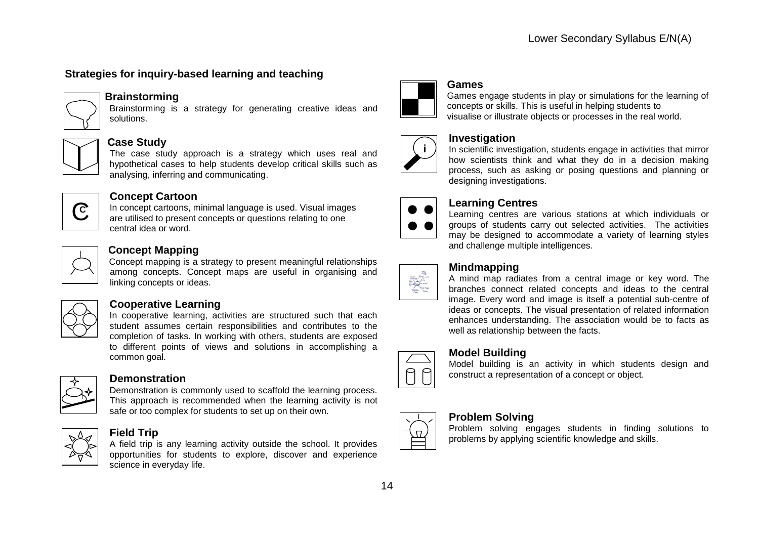### **Strategies for inquiry-based learning and teaching**



### **Brainstorming**

Brainstorming is a strategy for generating creative ideas and solutions.



#### **Case Study**

The case study approach is a strategy which uses real and hypothetical cases to help students develop critical skills such as analysing, inferring and communicating.



### **Concept Cartoon**

In concept cartoons, minimal language is used. Visual images are utilised to present concepts or questions relating to one central idea or word.

### **Concept Mapping**

Concept mapping is a strategy to present meaningful relationships among concepts. Concept maps are useful in organising and linking concepts or ideas.

### **Cooperative Learning**

In cooperative learning, activities are structured such that each student assumes certain responsibilities and contributes to the completion of tasks. In working with others, students are exposed to different points of views and solutions in accomplishing a common goal.



#### **Demonstration**

Demonstration is commonly used to scaffold the learning process. This approach is recommended when the learning activity is not safe or too complex for students to set up on their own.



### **Field Trip**

A field trip is any learning activity outside the school. It provides opportunities for students to explore, discover and experience science in everyday life.



#### **Games**

Games engage students in play or simulations for the learning of concepts or skills. This is useful in helping students to visualise or illustrate objects or processes in the real world.



### **Investigation**

In scientific investigation, students engage in activities that mirror how scientists think and what they do in a decision making process, such as asking or posing questions and planning or designing investigations.



### **Learning Centres**

Learning centres are various stations at which individuals or groups of students carry out selected activities. The activities may be designed to accommodate a variety of learning styles and challenge multiple intelligences.



### **Mindmapping**

A mind map radiates from a central image or key word. The branches connect related concepts and ideas to the central image. Every word and image is itself a potential sub-centre of ideas or concepts. The visual presentation of related information enhances understanding. The association would be to facts as well as relationship between the facts.



### **Model Building**

Model building is an activity in which students design and construct a representation of a concept or object.



### **Problem Solving**

Problem solving engages students in finding solutions to problems by applying scientific knowledge and skills.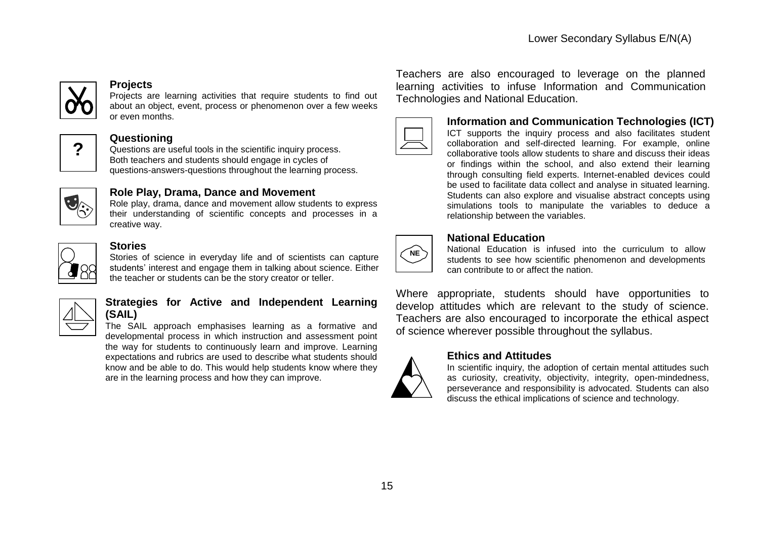

#### **Projects**

Projects are learning activities that require students to find out about an object, event, process or phenomenon over a few weeks or even months.



### **Questioning**

Questions are useful tools in the scientific inquiry process. Both teachers and students should engage in cycles of questions-answers-questions throughout the learning process.



### **Role Play, Drama, Dance and Movement**

Role play, drama, dance and movement allow students to express their understanding of scientific concepts and processes in a creative way.



### **Stories**

Stories of science in everyday life and of scientists can capture students' interest and engage them in talking about science. Either the teacher or students can be the story creator or teller.

### **Strategies for Active and Independent Learning (SAIL)**

The SAIL approach emphasises learning as a formative and developmental process in which instruction and assessment point the way for students to continuously learn and improve. Learning expectations and rubrics are used to describe what students should know and be able to do. This would help students know where they are in the learning process and how they can improve.

Teachers are also encouraged to leverage on the planned learning activities to infuse Information and Communication Technologies and National Education.



**Information and Communication Technologies (ICT)** ICT supports the inquiry process and also facilitates student collaboration and self-directed learning. For example, online collaborative tools allow students to share and discuss their ideas or findings within the school, and also extend their learning through consulting field experts. Internet-enabled devices could be used to facilitate data collect and analyse in situated learning. Students can also explore and visualise abstract concepts using simulations tools to manipulate the variables to deduce a relationship between the variables.



#### **National Education**

National Education is infused into the curriculum to allow students to see how scientific phenomenon and developments can contribute to or affect the nation.

Where appropriate, students should have opportunities to develop attitudes which are relevant to the study of science. Teachers are also encouraged to incorporate the ethical aspect of science wherever possible throughout the syllabus.

### **Ethics and Attitudes**

In scientific inquiry, the adoption of certain mental attitudes such as curiosity, creativity, objectivity, integrity, open-mindedness, perseverance and responsibility is advocated. Students can also discuss the ethical implications of science and technology.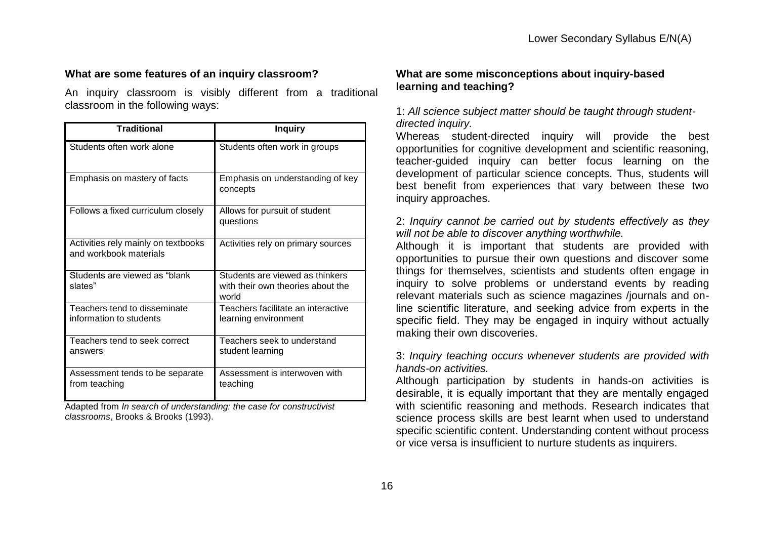### **What are some features of an inquiry classroom?**

An inquiry classroom is visibly different from a traditional classroom in the following ways:

| <b>Traditional</b>                                            | <b>Inquiry</b>                                                                |
|---------------------------------------------------------------|-------------------------------------------------------------------------------|
| Students often work alone                                     | Students often work in groups                                                 |
| Emphasis on mastery of facts                                  | Emphasis on understanding of key<br>concepts                                  |
| Follows a fixed curriculum closely                            | Allows for pursuit of student<br>questions                                    |
| Activities rely mainly on textbooks<br>and workbook materials | Activities rely on primary sources                                            |
| Students are viewed as "blank"<br>slates"                     | Students are viewed as thinkers<br>with their own theories about the<br>world |
| Teachers tend to disseminate<br>information to students       | Teachers facilitate an interactive<br>learning environment                    |
| Teachers tend to seek correct<br>answers                      | Teachers seek to understand<br>student learning                               |
| Assessment tends to be separate<br>from teaching              | Assessment is interwoven with<br>teaching                                     |

Adapted from *In search of understanding: the case for constructivist classrooms*, Brooks & Brooks (1993).

### **What are some misconceptions about inquiry-based learning and teaching?**

1: *All science subject matter should be taught through studentdirected inquiry.* 

Whereas student-directed inquiry will provide the best opportunities for cognitive development and scientific reasoning, teacher-guided inquiry can better focus learning on the development of particular science concepts. Thus, students will best benefit from experiences that vary between these two inquiry approaches.

### 2: *Inquiry cannot be carried out by students effectively as they will not be able to discover anything worthwhile.*

Although it is important that students are provided with opportunities to pursue their own questions and discover some things for themselves, scientists and students often engage in inquiry to solve problems or understand events by reading relevant materials such as science magazines /journals and online scientific literature, and seeking advice from experts in the specific field. They may be engaged in inquiry without actually making their own discoveries.

3: *Inquiry teaching occurs whenever students are provided with hands-on activities.* 

Although participation by students in hands-on activities is desirable, it is equally important that they are mentally engaged with scientific reasoning and methods. Research indicates that science process skills are best learnt when used to understand specific scientific content. Understanding content without process or vice versa is insufficient to nurture students as inquirers.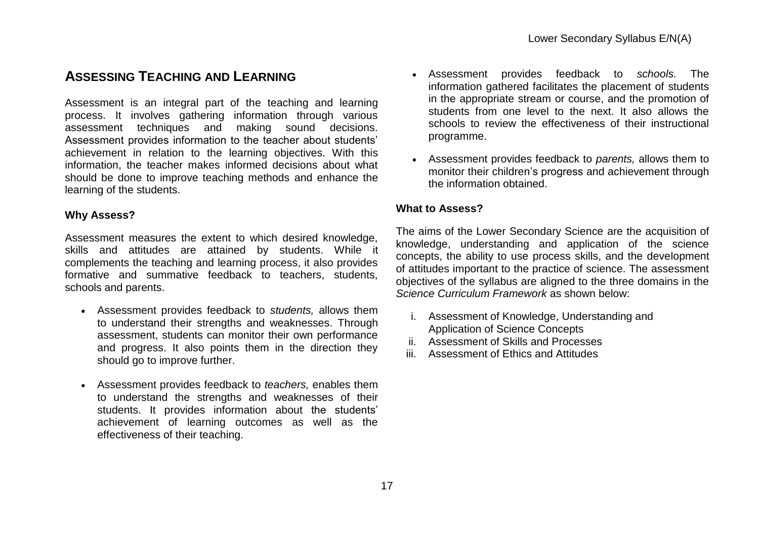### **ASSESSING TEACHING AND LEARNING**

Assessment is an integral part of the teaching and learning process. It involves gathering information through various assessment techniques and making sound decisions. Assessment provides information to the teacher about students' achievement in relation to the learning objectives. With this information, the teacher makes informed decisions about what should be done to improve teaching methods and enhance the learning of the students.

### **Why Assess?**

Assessment measures the extent to which desired knowledge, skills and attitudes are attained by students. While it complements the teaching and learning process, it also provides formative and summative feedback to teachers, students, schools and parents.

- Assessment provides feedback to *students,* allows them to understand their strengths and weaknesses. Through assessment, students can monitor their own performance and progress. It also points them in the direction they should go to improve further.
- Assessment provides feedback to *teachers,* enables them to understand the strengths and weaknesses of their students. It provides information about the students' achievement of learning outcomes as well as the effectiveness of their teaching.
- Assessment provides feedback to *schools.* The information gathered facilitates the placement of students in the appropriate stream or course, and the promotion of students from one level to the next. It also allows the schools to review the effectiveness of their instructional programme.
- Assessment provides feedback to *parents,* allows them to monitor their children"s progress and achievement through the information obtained.

### **What to Assess?**

The aims of the Lower Secondary Science are the acquisition of knowledge, understanding and application of the science concepts, the ability to use process skills, and the development of attitudes important to the practice of science. The assessment objectives of the syllabus are aligned to the three domains in the *Science Curriculum Framework* as shown below:

- i. Assessment of Knowledge, Understanding and Application of Science Concepts
- ii. Assessment of Skills and Processes
- iii. Assessment of Ethics and Attitudes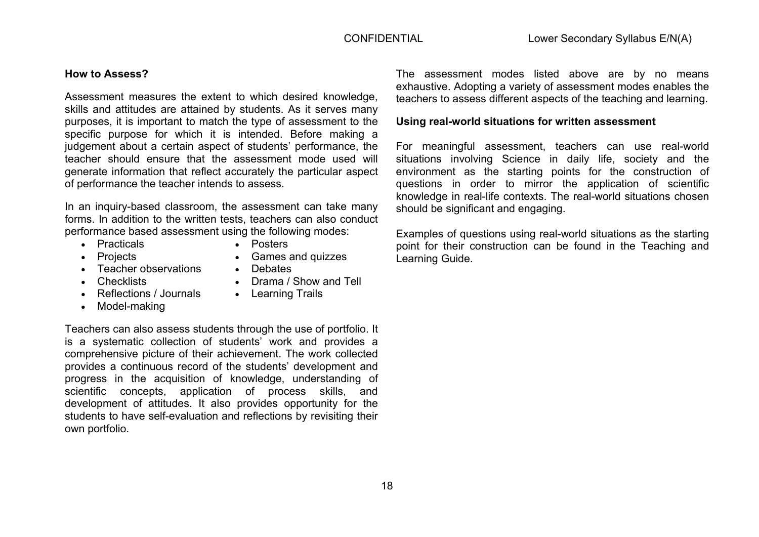#### **How to Assess?**

Assessment measures the extent to which desired knowledge, skills and attitudes are attained by students. As it serves many purposes, it is important to match the type of assessment to the specific purpose for which it is intended. Before making a judgement about a certain aspect of students' performance, the teacher should ensure that the assessment mode used will generate information that reflect accurately the particular aspect of performance the teacher intends to assess.

In an inquiry-based classroom, the assessment can take many forms. In addition to the written tests, teachers can also conduct performance based assessment using the following modes:

• Practicals

• Posters

• Debates

• Projects

- Games and quizzes
- Teacher observations
- Checklists
- Reflections / Journals
- Model-making
- Drama / Show and Tell
- Learning Trails

Teachers can also assess students through the use of portfolio. It is a systematic collection of students' work and provides a comprehensive picture of their achievement. The work collected provides a continuous record of the students' development and progress in the acquisition of knowledge, understanding of scientific concepts, application of process skills, and development of attitudes. It also provides opportunity for the students to have self-evaluation and reflections by revisiting their own portfolio.

The assessment modes listed above are by no means exhaustive. Adopting a variety of assessment modes enables the teachers to assess different aspects of the teaching and learning.

#### **Using real-world situations for written assessment**

For meaningful assessment, teachers can use real-world situations involving Science in daily life, society and the environment as the starting points for the construction of questions in order to mirror the application of scientific knowledge in real-life contexts. The real-world situations chosen should be significant and engaging.

Examples of questions using real-world situations as the starting point for their construction can be found in the Teaching and Learning Guide.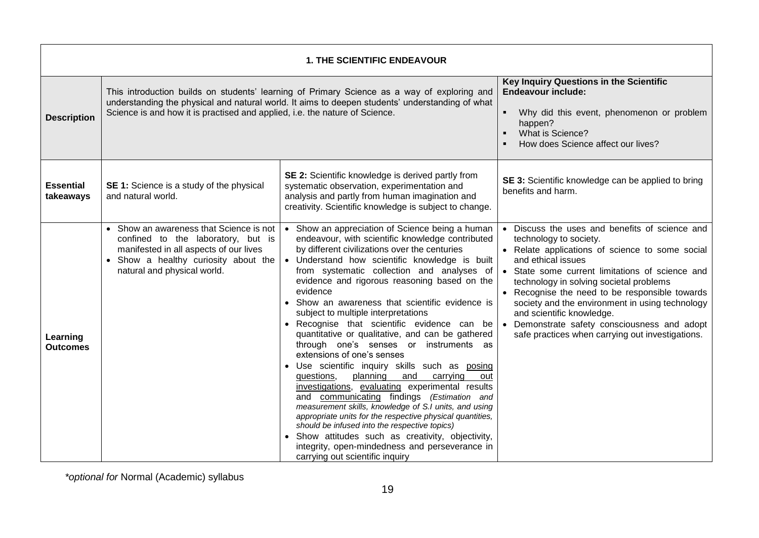|                               | <b>1. THE SCIENTIFIC ENDEAVOUR</b>                                                                                                                                                                                                                                            |                                                                                                                                                                                                                                                                                                                                                                                                                                                                                                                                                                                                                                                                                                                                                                                                                                                                                                                                                                                                                                                                                                           |                                                                                                                                                                                                                                                                                                                                                                                                                                                                                              |  |  |  |
|-------------------------------|-------------------------------------------------------------------------------------------------------------------------------------------------------------------------------------------------------------------------------------------------------------------------------|-----------------------------------------------------------------------------------------------------------------------------------------------------------------------------------------------------------------------------------------------------------------------------------------------------------------------------------------------------------------------------------------------------------------------------------------------------------------------------------------------------------------------------------------------------------------------------------------------------------------------------------------------------------------------------------------------------------------------------------------------------------------------------------------------------------------------------------------------------------------------------------------------------------------------------------------------------------------------------------------------------------------------------------------------------------------------------------------------------------|----------------------------------------------------------------------------------------------------------------------------------------------------------------------------------------------------------------------------------------------------------------------------------------------------------------------------------------------------------------------------------------------------------------------------------------------------------------------------------------------|--|--|--|
| <b>Description</b>            | This introduction builds on students' learning of Primary Science as a way of exploring and<br>understanding the physical and natural world. It aims to deepen students' understanding of what<br>Science is and how it is practised and applied, i.e. the nature of Science. |                                                                                                                                                                                                                                                                                                                                                                                                                                                                                                                                                                                                                                                                                                                                                                                                                                                                                                                                                                                                                                                                                                           | Key Inquiry Questions in the Scientific<br><b>Endeavour include:</b><br>Why did this event, phenomenon or problem<br>$\blacksquare$<br>happen?<br>What is Science?<br>$\blacksquare$<br>How does Science affect our lives?                                                                                                                                                                                                                                                                   |  |  |  |
| <b>Essential</b><br>takeaways | SE 1: Science is a study of the physical<br>and natural world.                                                                                                                                                                                                                | <b>SE 2:</b> Scientific knowledge is derived partly from<br>systematic observation, experimentation and<br>analysis and partly from human imagination and<br>creativity. Scientific knowledge is subject to change.                                                                                                                                                                                                                                                                                                                                                                                                                                                                                                                                                                                                                                                                                                                                                                                                                                                                                       | SE 3: Scientific knowledge can be applied to bring<br>benefits and harm.                                                                                                                                                                                                                                                                                                                                                                                                                     |  |  |  |
| Learning<br><b>Outcomes</b>   | • Show an awareness that Science is not<br>confined to the laboratory, but is<br>manifested in all aspects of our lives<br>Show a healthy curiosity about the<br>natural and physical world.                                                                                  | • Show an appreciation of Science being a human<br>endeavour, with scientific knowledge contributed<br>by different civilizations over the centuries<br>Understand how scientific knowledge is built<br>from systematic collection and analyses of<br>evidence and rigorous reasoning based on the<br>evidence<br>• Show an awareness that scientific evidence is<br>subject to multiple interpretations<br>• Recognise that scientific evidence can be<br>quantitative or qualitative, and can be gathered<br>through one's senses or instruments as<br>extensions of one's senses<br>Use scientific inquiry skills such as posing<br>and<br>carrying<br>questions,<br>planning<br>out<br>investigations, evaluating experimental results<br>and communicating findings (Estimation and<br>measurement skills, knowledge of S.I units, and using<br>appropriate units for the respective physical quantities,<br>should be infused into the respective topics)<br>• Show attitudes such as creativity, objectivity,<br>integrity, open-mindedness and perseverance in<br>carrying out scientific inquiry | Discuss the uses and benefits of science and<br>$\bullet$<br>technology to society.<br>• Relate applications of science to some social<br>and ethical issues<br>State some current limitations of science and<br>technology in solving societal problems<br>• Recognise the need to be responsible towards<br>society and the environment in using technology<br>and scientific knowledge.<br>Demonstrate safety consciousness and adopt<br>safe practices when carrying out investigations. |  |  |  |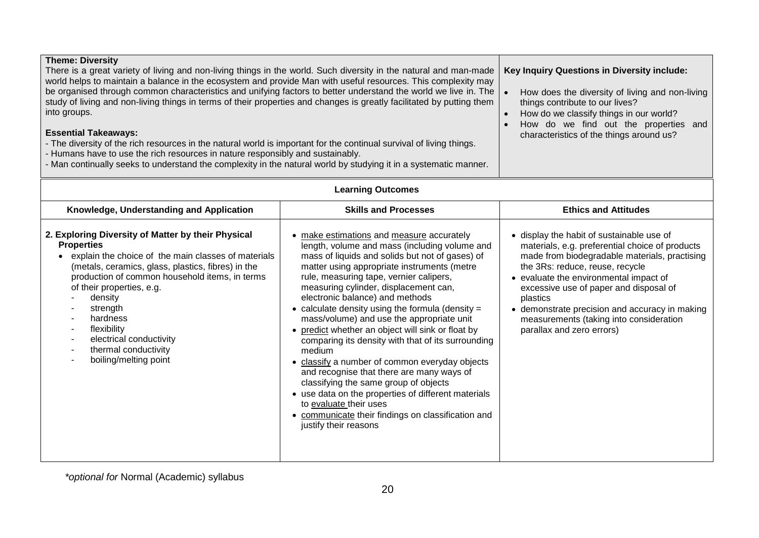| <b>Theme: Diversity</b><br>There is a great variety of living and non-living things in the world. Such diversity in the natural and man-made<br>world helps to maintain a balance in the ecosystem and provide Man with useful resources. This complexity may<br>be organised through common characteristics and unifying factors to better understand the world we live in. The<br>study of living and non-living things in terms of their properties and changes is greatly facilitated by putting them<br>into groups.<br><b>Essential Takeaways:</b><br>- The diversity of the rich resources in the natural world is important for the continual survival of living things.<br>- Humans have to use the rich resources in nature responsibly and sustainably.<br>- Man continually seeks to understand the complexity in the natural world by studying it in a systematic manner. | <b>Key Inquiry Questions in Diversity include:</b><br>How does the diversity of living and non-living<br>things contribute to our lives?<br>How do we classify things in our world?<br>How do we find out the properties and<br>$\bullet$<br>characteristics of the things around us?                                                                                                                                                                                                                                                                                                                                                                                                                                                                                                                                                               |                                                                                                                                                                                                                                                                                                                                                                                                            |
|----------------------------------------------------------------------------------------------------------------------------------------------------------------------------------------------------------------------------------------------------------------------------------------------------------------------------------------------------------------------------------------------------------------------------------------------------------------------------------------------------------------------------------------------------------------------------------------------------------------------------------------------------------------------------------------------------------------------------------------------------------------------------------------------------------------------------------------------------------------------------------------|-----------------------------------------------------------------------------------------------------------------------------------------------------------------------------------------------------------------------------------------------------------------------------------------------------------------------------------------------------------------------------------------------------------------------------------------------------------------------------------------------------------------------------------------------------------------------------------------------------------------------------------------------------------------------------------------------------------------------------------------------------------------------------------------------------------------------------------------------------|------------------------------------------------------------------------------------------------------------------------------------------------------------------------------------------------------------------------------------------------------------------------------------------------------------------------------------------------------------------------------------------------------------|
|                                                                                                                                                                                                                                                                                                                                                                                                                                                                                                                                                                                                                                                                                                                                                                                                                                                                                        | <b>Learning Outcomes</b>                                                                                                                                                                                                                                                                                                                                                                                                                                                                                                                                                                                                                                                                                                                                                                                                                            |                                                                                                                                                                                                                                                                                                                                                                                                            |
| Knowledge, Understanding and Application                                                                                                                                                                                                                                                                                                                                                                                                                                                                                                                                                                                                                                                                                                                                                                                                                                               | <b>Skills and Processes</b>                                                                                                                                                                                                                                                                                                                                                                                                                                                                                                                                                                                                                                                                                                                                                                                                                         | <b>Ethics and Attitudes</b>                                                                                                                                                                                                                                                                                                                                                                                |
| 2. Exploring Diversity of Matter by their Physical<br><b>Properties</b><br>explain the choice of the main classes of materials<br>$\bullet$<br>(metals, ceramics, glass, plastics, fibres) in the<br>production of common household items, in terms<br>of their properties, e.g.<br>density<br>strength<br>hardness<br>flexibility<br>electrical conductivity<br>thermal conductivity<br>boiling/melting point                                                                                                                                                                                                                                                                                                                                                                                                                                                                         | • make estimations and measure accurately<br>length, volume and mass (including volume and<br>mass of liquids and solids but not of gases) of<br>matter using appropriate instruments (metre<br>rule, measuring tape, vernier calipers,<br>measuring cylinder, displacement can,<br>electronic balance) and methods<br>• calculate density using the formula (density $=$<br>mass/volume) and use the appropriate unit<br>• predict whether an object will sink or float by<br>comparing its density with that of its surrounding<br>medium<br>• classify a number of common everyday objects<br>and recognise that there are many ways of<br>classifying the same group of objects<br>• use data on the properties of different materials<br>to evaluate their uses<br>• communicate their findings on classification and<br>justify their reasons | • display the habit of sustainable use of<br>materials, e.g. preferential choice of products<br>made from biodegradable materials, practising<br>the 3Rs: reduce, reuse, recycle<br>• evaluate the environmental impact of<br>excessive use of paper and disposal of<br>plastics<br>• demonstrate precision and accuracy in making<br>measurements (taking into consideration<br>parallax and zero errors) |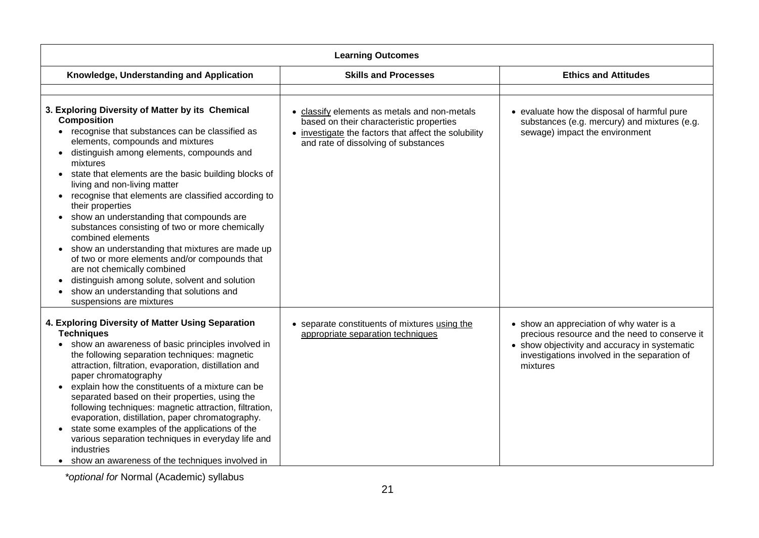| <b>Learning Outcomes</b>                                                                                                                                                                                                                                                                                                                                                                                                                                                                                                                                                                                                                                                                                                                                                                              |                                                                                                                                                                                          |                                                                                                                                                                                                        |
|-------------------------------------------------------------------------------------------------------------------------------------------------------------------------------------------------------------------------------------------------------------------------------------------------------------------------------------------------------------------------------------------------------------------------------------------------------------------------------------------------------------------------------------------------------------------------------------------------------------------------------------------------------------------------------------------------------------------------------------------------------------------------------------------------------|------------------------------------------------------------------------------------------------------------------------------------------------------------------------------------------|--------------------------------------------------------------------------------------------------------------------------------------------------------------------------------------------------------|
| Knowledge, Understanding and Application                                                                                                                                                                                                                                                                                                                                                                                                                                                                                                                                                                                                                                                                                                                                                              | <b>Skills and Processes</b>                                                                                                                                                              | <b>Ethics and Attitudes</b>                                                                                                                                                                            |
|                                                                                                                                                                                                                                                                                                                                                                                                                                                                                                                                                                                                                                                                                                                                                                                                       |                                                                                                                                                                                          |                                                                                                                                                                                                        |
| 3. Exploring Diversity of Matter by its Chemical<br><b>Composition</b><br>• recognise that substances can be classified as<br>elements, compounds and mixtures<br>distinguish among elements, compounds and<br>$\bullet$<br>mixtures<br>state that elements are the basic building blocks of<br>living and non-living matter<br>recognise that elements are classified according to<br>their properties<br>show an understanding that compounds are<br>$\bullet$<br>substances consisting of two or more chemically<br>combined elements<br>show an understanding that mixtures are made up<br>of two or more elements and/or compounds that<br>are not chemically combined<br>distinguish among solute, solvent and solution<br>show an understanding that solutions and<br>suspensions are mixtures | • classify elements as metals and non-metals<br>based on their characteristic properties<br>• investigate the factors that affect the solubility<br>and rate of dissolving of substances | • evaluate how the disposal of harmful pure<br>substances (e.g. mercury) and mixtures (e.g.<br>sewage) impact the environment                                                                          |
| 4. Exploring Diversity of Matter Using Separation<br><b>Techniques</b><br>show an awareness of basic principles involved in<br>the following separation techniques: magnetic<br>attraction, filtration, evaporation, distillation and<br>paper chromatography<br>explain how the constituents of a mixture can be<br>$\bullet$<br>separated based on their properties, using the<br>following techniques: magnetic attraction, filtration,<br>evaporation, distillation, paper chromatography.<br>state some examples of the applications of the<br>various separation techniques in everyday life and<br>industries<br>show an awareness of the techniques involved in<br>$\bullet$                                                                                                                  | • separate constituents of mixtures using the<br>appropriate separation techniques                                                                                                       | • show an appreciation of why water is a<br>precious resource and the need to conserve it<br>• show objectivity and accuracy in systematic<br>investigations involved in the separation of<br>mixtures |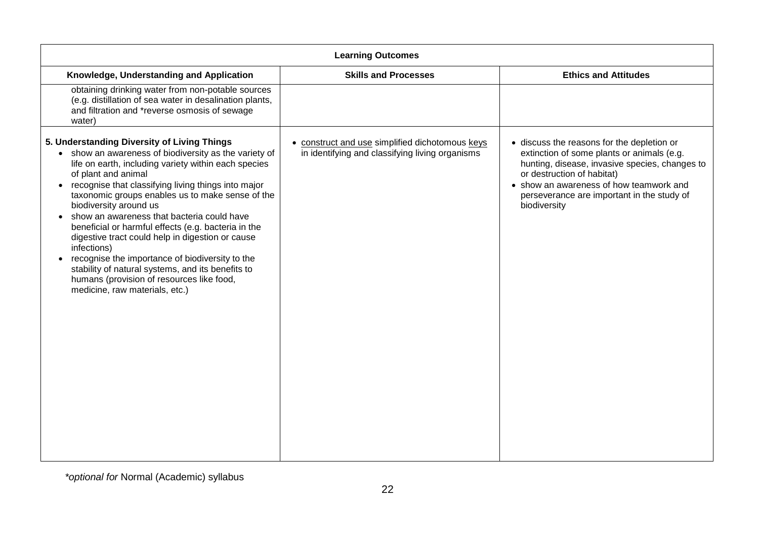| <b>Learning Outcomes</b>                                                                                                                                                                                                                                                                                                                                                                                                                                                                                                                                                                                                                                                                             |                                                                                                    |                                                                                                                                                                                                                                                                                   |
|------------------------------------------------------------------------------------------------------------------------------------------------------------------------------------------------------------------------------------------------------------------------------------------------------------------------------------------------------------------------------------------------------------------------------------------------------------------------------------------------------------------------------------------------------------------------------------------------------------------------------------------------------------------------------------------------------|----------------------------------------------------------------------------------------------------|-----------------------------------------------------------------------------------------------------------------------------------------------------------------------------------------------------------------------------------------------------------------------------------|
| Knowledge, Understanding and Application                                                                                                                                                                                                                                                                                                                                                                                                                                                                                                                                                                                                                                                             | <b>Skills and Processes</b>                                                                        | <b>Ethics and Attitudes</b>                                                                                                                                                                                                                                                       |
| obtaining drinking water from non-potable sources<br>(e.g. distillation of sea water in desalination plants,<br>and filtration and *reverse osmosis of sewage<br>water)                                                                                                                                                                                                                                                                                                                                                                                                                                                                                                                              |                                                                                                    |                                                                                                                                                                                                                                                                                   |
| 5. Understanding Diversity of Living Things<br>• show an awareness of biodiversity as the variety of<br>life on earth, including variety within each species<br>of plant and animal<br>recognise that classifying living things into major<br>$\bullet$<br>taxonomic groups enables us to make sense of the<br>biodiversity around us<br>show an awareness that bacteria could have<br>beneficial or harmful effects (e.g. bacteria in the<br>digestive tract could help in digestion or cause<br>infections)<br>recognise the importance of biodiversity to the<br>stability of natural systems, and its benefits to<br>humans (provision of resources like food,<br>medicine, raw materials, etc.) | • construct and use simplified dichotomous keys<br>in identifying and classifying living organisms | · discuss the reasons for the depletion or<br>extinction of some plants or animals (e.g.<br>hunting, disease, invasive species, changes to<br>or destruction of habitat)<br>• show an awareness of how teamwork and<br>perseverance are important in the study of<br>biodiversity |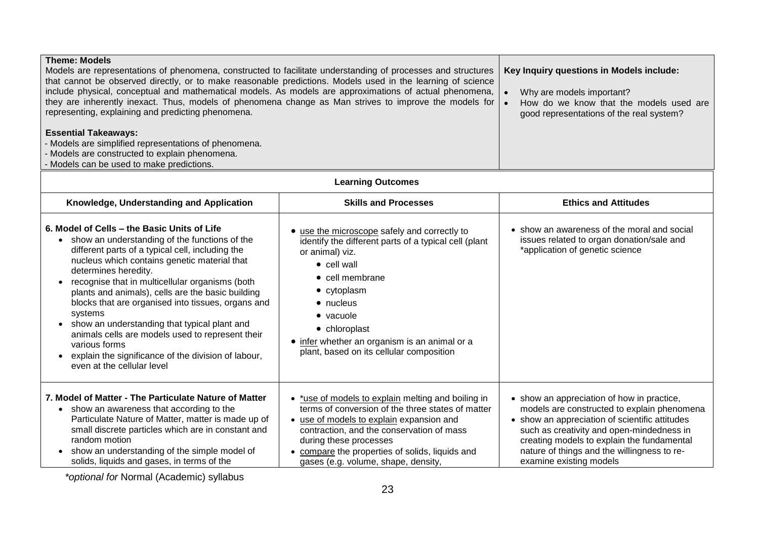| <b>Theme: Models</b><br>Models are representations of phenomena, constructed to facilitate understanding of processes and structures<br>that cannot be observed directly, or to make reasonable predictions. Models used in the learning of science<br>include physical, conceptual and mathematical models. As models are approximations of actual phenomena,<br>they are inherently inexact. Thus, models of phenomena change as Man strives to improve the models for<br>representing, explaining and predicting phenomena.<br><b>Essential Takeaways:</b><br>- Models are simplified representations of phenomena.<br>- Models are constructed to explain phenomena.<br>Models can be used to make predictions. |                                                                                                                                                                                                                                                                                                                           | Key Inquiry questions in Models include:<br>Why are models important?<br>How do we know that the models used are<br>good representations of the real system?                                                                                                                                                     |
|---------------------------------------------------------------------------------------------------------------------------------------------------------------------------------------------------------------------------------------------------------------------------------------------------------------------------------------------------------------------------------------------------------------------------------------------------------------------------------------------------------------------------------------------------------------------------------------------------------------------------------------------------------------------------------------------------------------------|---------------------------------------------------------------------------------------------------------------------------------------------------------------------------------------------------------------------------------------------------------------------------------------------------------------------------|------------------------------------------------------------------------------------------------------------------------------------------------------------------------------------------------------------------------------------------------------------------------------------------------------------------|
|                                                                                                                                                                                                                                                                                                                                                                                                                                                                                                                                                                                                                                                                                                                     | <b>Learning Outcomes</b>                                                                                                                                                                                                                                                                                                  |                                                                                                                                                                                                                                                                                                                  |
| Knowledge, Understanding and Application                                                                                                                                                                                                                                                                                                                                                                                                                                                                                                                                                                                                                                                                            | <b>Skills and Processes</b>                                                                                                                                                                                                                                                                                               | <b>Ethics and Attitudes</b>                                                                                                                                                                                                                                                                                      |
| 6. Model of Cells – the Basic Units of Life<br>• show an understanding of the functions of the<br>different parts of a typical cell, including the<br>nucleus which contains genetic material that<br>determines heredity.<br>recognise that in multicellular organisms (both<br>$\bullet$<br>plants and animals), cells are the basic building<br>blocks that are organised into tissues, organs and<br>systems<br>• show an understanding that typical plant and<br>animals cells are models used to represent their<br>various forms<br>explain the significance of the division of labour,<br>$\bullet$<br>even at the cellular level                                                                           | • use the microscope safely and correctly to<br>identify the different parts of a typical cell (plant<br>or animal) viz.<br>$\bullet$ cell wall<br>• cell membrane<br>• cytoplasm<br>• nucleus<br>• vacuole<br>• chloroplast<br>• infer whether an organism is an animal or a<br>plant, based on its cellular composition | • show an awareness of the moral and social<br>issues related to organ donation/sale and<br>*application of genetic science                                                                                                                                                                                      |
| 7. Model of Matter - The Particulate Nature of Matter<br>• show an awareness that according to the<br>Particulate Nature of Matter, matter is made up of<br>small discrete particles which are in constant and<br>random motion<br>• show an understanding of the simple model of<br>solids, liquids and gases, in terms of the                                                                                                                                                                                                                                                                                                                                                                                     | • *use of models to explain melting and boiling in<br>terms of conversion of the three states of matter<br>• use of models to explain expansion and<br>contraction, and the conservation of mass<br>during these processes<br>• compare the properties of solids, liquids and<br>gases (e.g. volume, shape, density,      | • show an appreciation of how in practice,<br>models are constructed to explain phenomena<br>• show an appreciation of scientific attitudes<br>such as creativity and open-mindedness in<br>creating models to explain the fundamental<br>nature of things and the willingness to re-<br>examine existing models |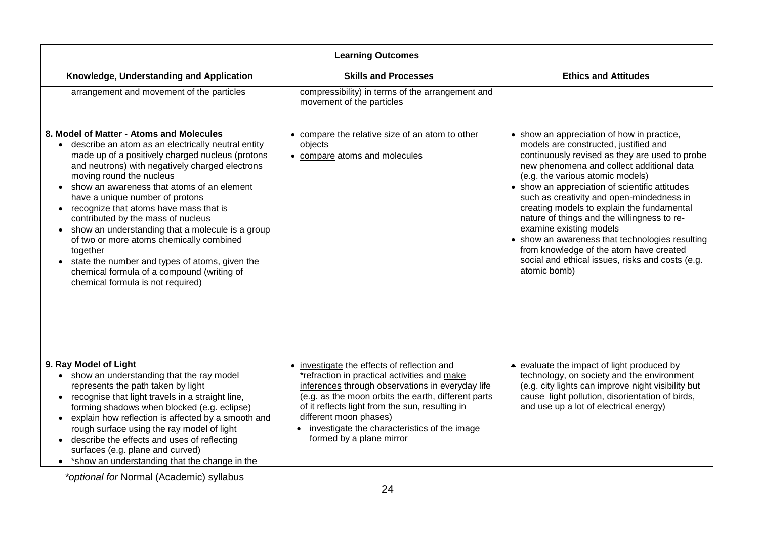| <b>Learning Outcomes</b>                                                                                                                                                                                                                                                                                                                                                                                                                                                                                                                                                                                                                                             |                                                                                                                                                                                                                                                                                                                                                                 |                                                                                                                                                                                                                                                                                                                                                                                                                                                                                                                                                                                                                 |
|----------------------------------------------------------------------------------------------------------------------------------------------------------------------------------------------------------------------------------------------------------------------------------------------------------------------------------------------------------------------------------------------------------------------------------------------------------------------------------------------------------------------------------------------------------------------------------------------------------------------------------------------------------------------|-----------------------------------------------------------------------------------------------------------------------------------------------------------------------------------------------------------------------------------------------------------------------------------------------------------------------------------------------------------------|-----------------------------------------------------------------------------------------------------------------------------------------------------------------------------------------------------------------------------------------------------------------------------------------------------------------------------------------------------------------------------------------------------------------------------------------------------------------------------------------------------------------------------------------------------------------------------------------------------------------|
| Knowledge, Understanding and Application                                                                                                                                                                                                                                                                                                                                                                                                                                                                                                                                                                                                                             | <b>Skills and Processes</b>                                                                                                                                                                                                                                                                                                                                     | <b>Ethics and Attitudes</b>                                                                                                                                                                                                                                                                                                                                                                                                                                                                                                                                                                                     |
| arrangement and movement of the particles                                                                                                                                                                                                                                                                                                                                                                                                                                                                                                                                                                                                                            | compressibility) in terms of the arrangement and<br>movement of the particles                                                                                                                                                                                                                                                                                   |                                                                                                                                                                                                                                                                                                                                                                                                                                                                                                                                                                                                                 |
| 8. Model of Matter - Atoms and Molecules<br>• describe an atom as an electrically neutral entity<br>made up of a positively charged nucleus (protons<br>and neutrons) with negatively charged electrons<br>moving round the nucleus<br>show an awareness that atoms of an element<br>have a unique number of protons<br>• recognize that atoms have mass that is<br>contributed by the mass of nucleus<br>show an understanding that a molecule is a group<br>of two or more atoms chemically combined<br>together<br>state the number and types of atoms, given the<br>$\bullet$<br>chemical formula of a compound (writing of<br>chemical formula is not required) | • compare the relative size of an atom to other<br>objects<br>• compare atoms and molecules                                                                                                                                                                                                                                                                     | • show an appreciation of how in practice,<br>models are constructed, justified and<br>continuously revised as they are used to probe<br>new phenomena and collect additional data<br>(e.g. the various atomic models)<br>• show an appreciation of scientific attitudes<br>such as creativity and open-mindedness in<br>creating models to explain the fundamental<br>nature of things and the willingness to re-<br>examine existing models<br>• show an awareness that technologies resulting<br>from knowledge of the atom have created<br>social and ethical issues, risks and costs (e.g.<br>atomic bomb) |
| 9. Ray Model of Light<br>• show an understanding that the ray model<br>represents the path taken by light<br>• recognise that light travels in a straight line,<br>forming shadows when blocked (e.g. eclipse)<br>explain how reflection is affected by a smooth and<br>$\bullet$<br>rough surface using the ray model of light<br>describe the effects and uses of reflecting<br>$\bullet$<br>surfaces (e.g. plane and curved)<br>• *show an understanding that the change in the                                                                                                                                                                                   | • investigate the effects of reflection and<br>*refraction in practical activities and make<br>inferences through observations in everyday life<br>(e.g. as the moon orbits the earth, different parts<br>of it reflects light from the sun, resulting in<br>different moon phases)<br>investigate the characteristics of the image<br>formed by a plane mirror | • evaluate the impact of light produced by<br>technology, on society and the environment<br>(e.g. city lights can improve night visibility but<br>cause light pollution, disorientation of birds,<br>and use up a lot of electrical energy)                                                                                                                                                                                                                                                                                                                                                                     |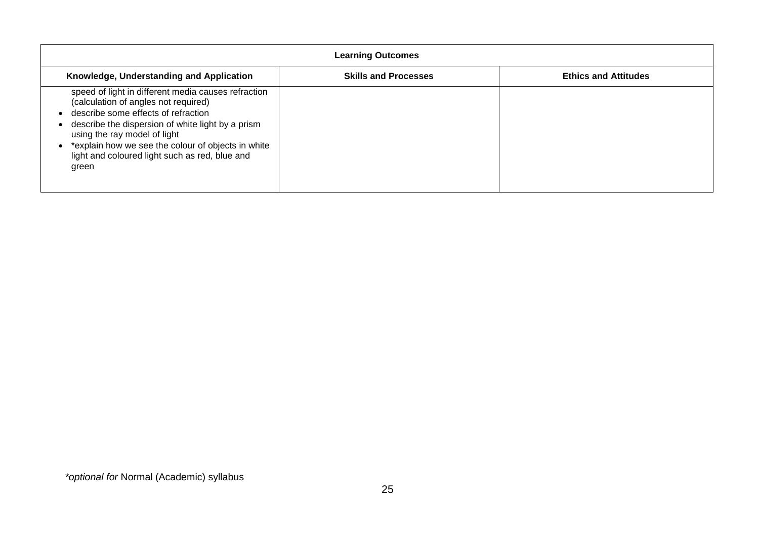| <b>Learning Outcomes</b>                                                                                                                                                                                                                                                                                                                 |                             |                             |
|------------------------------------------------------------------------------------------------------------------------------------------------------------------------------------------------------------------------------------------------------------------------------------------------------------------------------------------|-----------------------------|-----------------------------|
| Knowledge, Understanding and Application                                                                                                                                                                                                                                                                                                 | <b>Skills and Processes</b> | <b>Ethics and Attitudes</b> |
| speed of light in different media causes refraction<br>(calculation of angles not required)<br>describe some effects of refraction<br>describe the dispersion of white light by a prism<br>using the ray model of light<br>*explain how we see the colour of objects in white<br>light and coloured light such as red, blue and<br>green |                             |                             |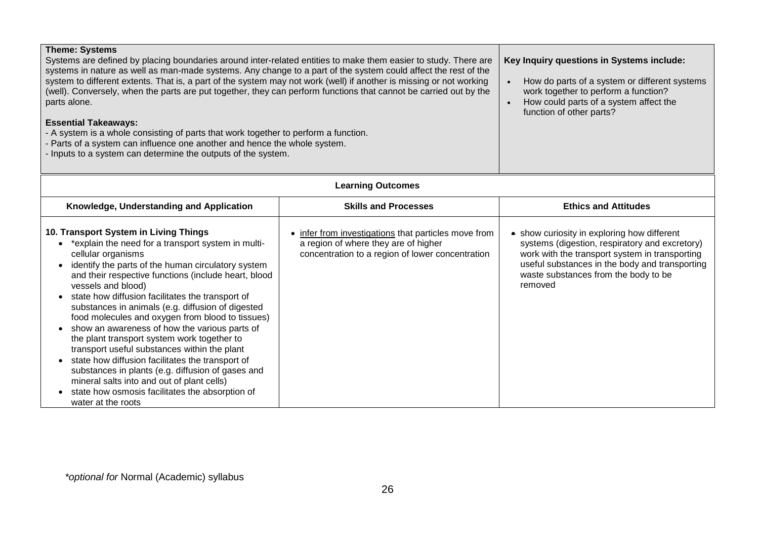| <b>Theme: Systems</b><br>Systems are defined by placing boundaries around inter-related entities to make them easier to study. There are<br>systems in nature as well as man-made systems. Any change to a part of the system could affect the rest of the<br>system to different extents. That is, a part of the system may not work (well) if another is missing or not working<br>(well). Conversely, when the parts are put together, they can perform functions that cannot be carried out by the<br>parts alone.<br><b>Essential Takeaways:</b><br>- A system is a whole consisting of parts that work together to perform a function.<br>- Parts of a system can influence one another and hence the whole system.<br>- Inputs to a system can determine the outputs of the system.                                                             |                                                                                                                                                | Key Inquiry questions in Systems include:<br>How do parts of a system or different systems<br>work together to perform a function?<br>How could parts of a system affect the<br>function of other parts?                                             |
|--------------------------------------------------------------------------------------------------------------------------------------------------------------------------------------------------------------------------------------------------------------------------------------------------------------------------------------------------------------------------------------------------------------------------------------------------------------------------------------------------------------------------------------------------------------------------------------------------------------------------------------------------------------------------------------------------------------------------------------------------------------------------------------------------------------------------------------------------------|------------------------------------------------------------------------------------------------------------------------------------------------|------------------------------------------------------------------------------------------------------------------------------------------------------------------------------------------------------------------------------------------------------|
|                                                                                                                                                                                                                                                                                                                                                                                                                                                                                                                                                                                                                                                                                                                                                                                                                                                        | <b>Learning Outcomes</b>                                                                                                                       |                                                                                                                                                                                                                                                      |
| Knowledge, Understanding and Application                                                                                                                                                                                                                                                                                                                                                                                                                                                                                                                                                                                                                                                                                                                                                                                                               | <b>Skills and Processes</b>                                                                                                                    | <b>Ethics and Attitudes</b>                                                                                                                                                                                                                          |
| 10. Transport System in Living Things<br>*explain the need for a transport system in multi-<br>$\bullet$<br>cellular organisms<br>identify the parts of the human circulatory system<br>$\bullet$<br>and their respective functions (include heart, blood<br>vessels and blood)<br>state how diffusion facilitates the transport of<br>substances in animals (e.g. diffusion of digested<br>food molecules and oxygen from blood to tissues)<br>show an awareness of how the various parts of<br>$\bullet$<br>the plant transport system work together to<br>transport useful substances within the plant<br>state how diffusion facilitates the transport of<br>substances in plants (e.g. diffusion of gases and<br>mineral salts into and out of plant cells)<br>state how osmosis facilitates the absorption of<br>$\bullet$<br>water at the roots | infer from investigations that particles move from<br>a region of where they are of higher<br>concentration to a region of lower concentration | • show curiosity in exploring how different<br>systems (digestion, respiratory and excretory)<br>work with the transport system in transporting<br>useful substances in the body and transporting<br>waste substances from the body to be<br>removed |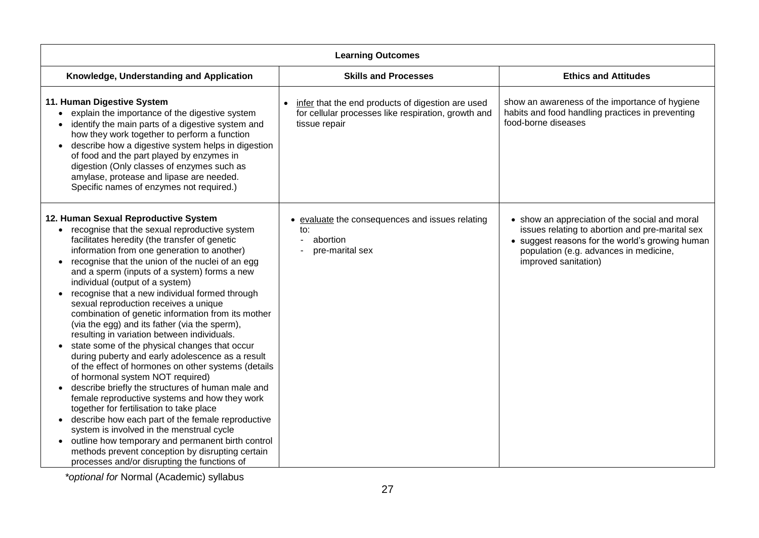| <b>Learning Outcomes</b>                                                                                                                                                                                                                                                                                                                                                                                                                                                                                                                                                                                                                                                                                                                                                                                                                                                                                                                                                                                                                                                                                                                                                                                                                         |                                                                                                                           |                                                                                                                                                                                                                        |
|--------------------------------------------------------------------------------------------------------------------------------------------------------------------------------------------------------------------------------------------------------------------------------------------------------------------------------------------------------------------------------------------------------------------------------------------------------------------------------------------------------------------------------------------------------------------------------------------------------------------------------------------------------------------------------------------------------------------------------------------------------------------------------------------------------------------------------------------------------------------------------------------------------------------------------------------------------------------------------------------------------------------------------------------------------------------------------------------------------------------------------------------------------------------------------------------------------------------------------------------------|---------------------------------------------------------------------------------------------------------------------------|------------------------------------------------------------------------------------------------------------------------------------------------------------------------------------------------------------------------|
| Knowledge, Understanding and Application                                                                                                                                                                                                                                                                                                                                                                                                                                                                                                                                                                                                                                                                                                                                                                                                                                                                                                                                                                                                                                                                                                                                                                                                         | <b>Skills and Processes</b>                                                                                               | <b>Ethics and Attitudes</b>                                                                                                                                                                                            |
| 11. Human Digestive System<br>• explain the importance of the digestive system<br>identify the main parts of a digestive system and<br>how they work together to perform a function<br>describe how a digestive system helps in digestion<br>of food and the part played by enzymes in<br>digestion (Only classes of enzymes such as<br>amylase, protease and lipase are needed.<br>Specific names of enzymes not required.)                                                                                                                                                                                                                                                                                                                                                                                                                                                                                                                                                                                                                                                                                                                                                                                                                     | infer that the end products of digestion are used<br>for cellular processes like respiration, growth and<br>tissue repair | show an awareness of the importance of hygiene<br>habits and food handling practices in preventing<br>food-borne diseases                                                                                              |
| 12. Human Sexual Reproductive System<br>• recognise that the sexual reproductive system<br>facilitates heredity (the transfer of genetic<br>information from one generation to another)<br>recognise that the union of the nuclei of an egg<br>and a sperm (inputs of a system) forms a new<br>individual (output of a system)<br>recognise that a new individual formed through<br>$\bullet$<br>sexual reproduction receives a unique<br>combination of genetic information from its mother<br>(via the egg) and its father (via the sperm),<br>resulting in variation between individuals.<br>state some of the physical changes that occur<br>during puberty and early adolescence as a result<br>of the effect of hormones on other systems (details<br>of hormonal system NOT required)<br>describe briefly the structures of human male and<br>$\bullet$<br>female reproductive systems and how they work<br>together for fertilisation to take place<br>describe how each part of the female reproductive<br>$\bullet$<br>system is involved in the menstrual cycle<br>outline how temporary and permanent birth control<br>$\bullet$<br>methods prevent conception by disrupting certain<br>processes and/or disrupting the functions of | evaluate the consequences and issues relating<br>to:<br>abortion<br>pre-marital sex                                       | • show an appreciation of the social and moral<br>issues relating to abortion and pre-marital sex<br>• suggest reasons for the world's growing human<br>population (e.g. advances in medicine,<br>improved sanitation) |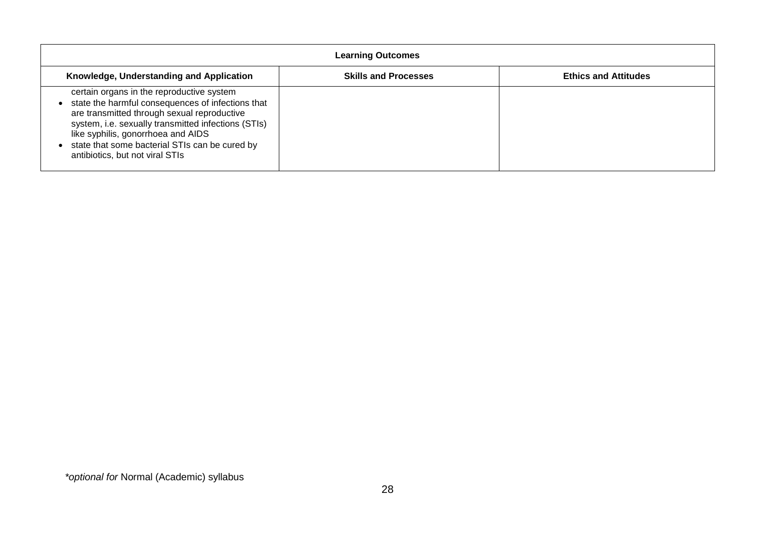| <b>Learning Outcomes</b>                                                                                                                                                                                                                                                                                                        |                             |                             |
|---------------------------------------------------------------------------------------------------------------------------------------------------------------------------------------------------------------------------------------------------------------------------------------------------------------------------------|-----------------------------|-----------------------------|
| Knowledge, Understanding and Application                                                                                                                                                                                                                                                                                        | <b>Skills and Processes</b> | <b>Ethics and Attitudes</b> |
| certain organs in the reproductive system<br>state the harmful consequences of infections that<br>are transmitted through sexual reproductive<br>system, i.e. sexually transmitted infections (STIs)<br>like syphilis, gonorrhoea and AIDS<br>state that some bacterial STIs can be cured by<br>antibiotics, but not viral STIs |                             |                             |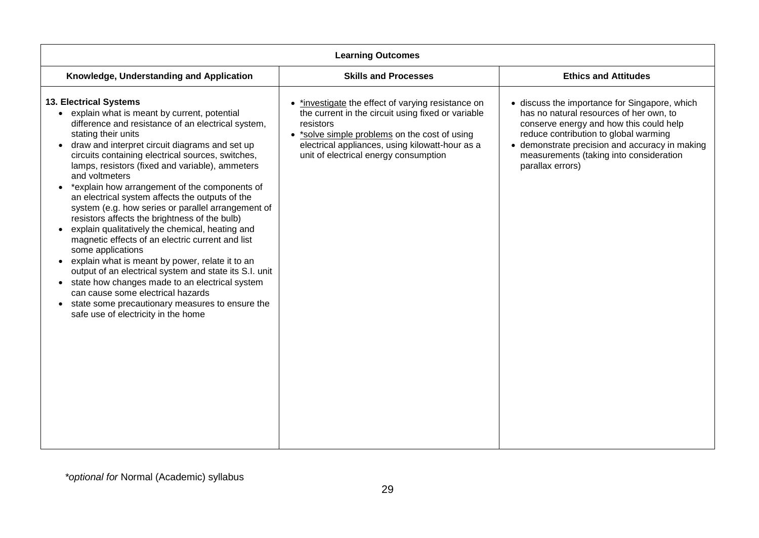| <b>Learning Outcomes</b>                                                                                                                                                                                                                                                                                                                                                                                                                                                                                                                                                                                                                                                                                                                                                                                                                                                                                                                                            |                                                                                                                                                                                                                                                                  |                                                                                                                                                                                                                                                                                               |
|---------------------------------------------------------------------------------------------------------------------------------------------------------------------------------------------------------------------------------------------------------------------------------------------------------------------------------------------------------------------------------------------------------------------------------------------------------------------------------------------------------------------------------------------------------------------------------------------------------------------------------------------------------------------------------------------------------------------------------------------------------------------------------------------------------------------------------------------------------------------------------------------------------------------------------------------------------------------|------------------------------------------------------------------------------------------------------------------------------------------------------------------------------------------------------------------------------------------------------------------|-----------------------------------------------------------------------------------------------------------------------------------------------------------------------------------------------------------------------------------------------------------------------------------------------|
| Knowledge, Understanding and Application                                                                                                                                                                                                                                                                                                                                                                                                                                                                                                                                                                                                                                                                                                                                                                                                                                                                                                                            | <b>Skills and Processes</b>                                                                                                                                                                                                                                      | <b>Ethics and Attitudes</b>                                                                                                                                                                                                                                                                   |
| 13. Electrical Systems<br>explain what is meant by current, potential<br>difference and resistance of an electrical system,<br>stating their units<br>draw and interpret circuit diagrams and set up<br>circuits containing electrical sources, switches,<br>lamps, resistors (fixed and variable), ammeters<br>and voltmeters<br>*explain how arrangement of the components of<br>an electrical system affects the outputs of the<br>system (e.g. how series or parallel arrangement of<br>resistors affects the brightness of the bulb)<br>explain qualitatively the chemical, heating and<br>magnetic effects of an electric current and list<br>some applications<br>explain what is meant by power, relate it to an<br>output of an electrical system and state its S.I. unit<br>state how changes made to an electrical system<br>can cause some electrical hazards<br>state some precautionary measures to ensure the<br>safe use of electricity in the home | *investigate the effect of varying resistance on<br>the current in the circuit using fixed or variable<br>resistors<br>• *solve simple problems on the cost of using<br>electrical appliances, using kilowatt-hour as a<br>unit of electrical energy consumption | • discuss the importance for Singapore, which<br>has no natural resources of her own, to<br>conserve energy and how this could help<br>reduce contribution to global warming<br>• demonstrate precision and accuracy in making<br>measurements (taking into consideration<br>parallax errors) |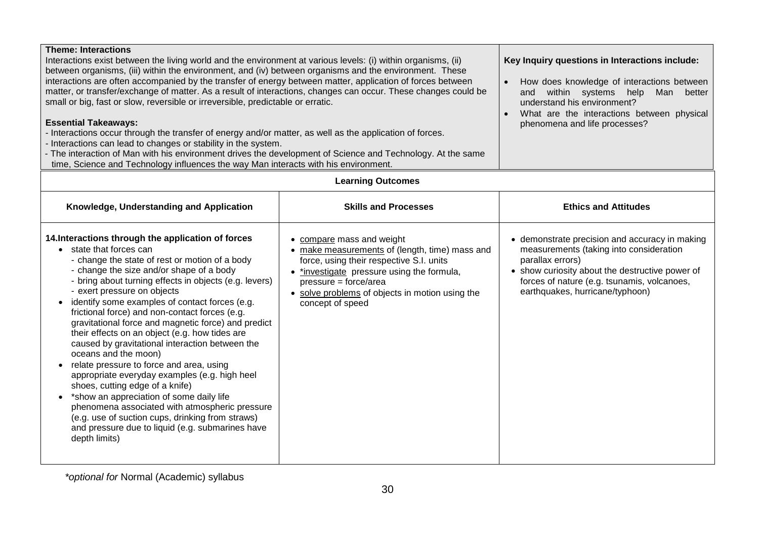| <b>Theme: Interactions</b><br>Interactions exist between the living world and the environment at various levels: (i) within organisms, (ii)<br>between organisms, (iii) within the environment, and (iv) between organisms and the environment. These<br>interactions are often accompanied by the transfer of energy between matter, application of forces between<br>matter, or transfer/exchange of matter. As a result of interactions, changes can occur. These changes could be<br>small or big, fast or slow, reversible or irreversible, predictable or erratic.<br><b>Essential Takeaways:</b><br>- Interactions occur through the transfer of energy and/or matter, as well as the application of forces.<br>- Interactions can lead to changes or stability in the system.<br>- The interaction of Man with his environment drives the development of Science and Technology. At the same<br>time, Science and Technology influences the way Man interacts with his environment. |                                                                                                                                                                                                                                                                       | Key Inquiry questions in Interactions include:<br>How does knowledge of interactions between<br>and within systems help<br>Man<br>better<br>understand his environment?<br>What are the interactions between physical<br>phenomena and life processes? |
|---------------------------------------------------------------------------------------------------------------------------------------------------------------------------------------------------------------------------------------------------------------------------------------------------------------------------------------------------------------------------------------------------------------------------------------------------------------------------------------------------------------------------------------------------------------------------------------------------------------------------------------------------------------------------------------------------------------------------------------------------------------------------------------------------------------------------------------------------------------------------------------------------------------------------------------------------------------------------------------------|-----------------------------------------------------------------------------------------------------------------------------------------------------------------------------------------------------------------------------------------------------------------------|--------------------------------------------------------------------------------------------------------------------------------------------------------------------------------------------------------------------------------------------------------|
|                                                                                                                                                                                                                                                                                                                                                                                                                                                                                                                                                                                                                                                                                                                                                                                                                                                                                                                                                                                             | <b>Learning Outcomes</b>                                                                                                                                                                                                                                              |                                                                                                                                                                                                                                                        |
| Knowledge, Understanding and Application                                                                                                                                                                                                                                                                                                                                                                                                                                                                                                                                                                                                                                                                                                                                                                                                                                                                                                                                                    | <b>Skills and Processes</b>                                                                                                                                                                                                                                           | <b>Ethics and Attitudes</b>                                                                                                                                                                                                                            |
| 14. Interactions through the application of forces<br>• state that forces can<br>- change the state of rest or motion of a body<br>- change the size and/or shape of a body<br>- bring about turning effects in objects (e.g. levers)<br>- exert pressure on objects<br>identify some examples of contact forces (e.g.<br>frictional force) and non-contact forces (e.g.<br>gravitational force and magnetic force) and predict<br>their effects on an object (e.g. how tides are<br>caused by gravitational interaction between the<br>oceans and the moon)<br>relate pressure to force and area, using<br>appropriate everyday examples (e.g. high heel<br>shoes, cutting edge of a knife)<br>• *show an appreciation of some daily life<br>phenomena associated with atmospheric pressure<br>(e.g. use of suction cups, drinking from straws)<br>and pressure due to liquid (e.g. submarines have<br>depth limits)                                                                       | • compare mass and weight<br>• make measurements of (length, time) mass and<br>force, using their respective S.I. units<br>• *investigate pressure using the formula,<br>pressure = force/area<br>• solve problems of objects in motion using the<br>concept of speed | • demonstrate precision and accuracy in making<br>measurements (taking into consideration<br>parallax errors)<br>• show curiosity about the destructive power of<br>forces of nature (e.g. tsunamis, volcanoes,<br>earthquakes, hurricane/typhoon)     |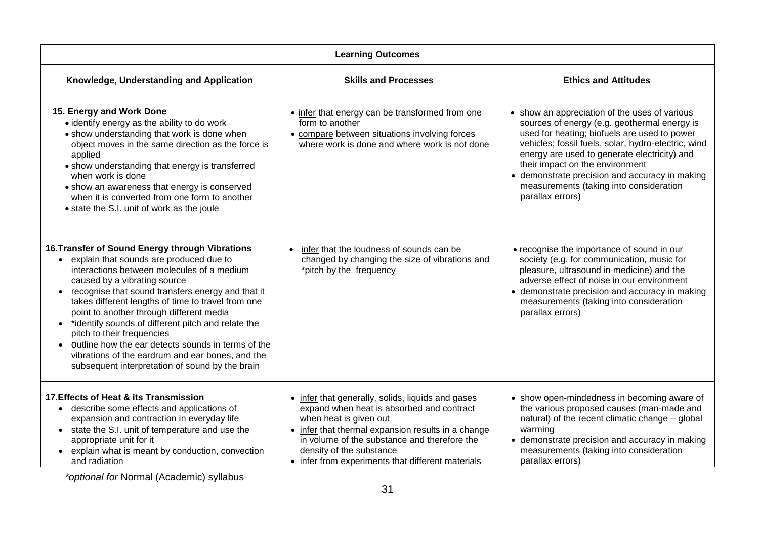| <b>Learning Outcomes</b>                                                                                                                                                                                                                                                                                                                                                                                                                                                                                                                                                                                                             |                                                                                                                                                                                                                                                                                                                 |                                                                                                                                                                                                                                                                                                                                                                                                          |
|--------------------------------------------------------------------------------------------------------------------------------------------------------------------------------------------------------------------------------------------------------------------------------------------------------------------------------------------------------------------------------------------------------------------------------------------------------------------------------------------------------------------------------------------------------------------------------------------------------------------------------------|-----------------------------------------------------------------------------------------------------------------------------------------------------------------------------------------------------------------------------------------------------------------------------------------------------------------|----------------------------------------------------------------------------------------------------------------------------------------------------------------------------------------------------------------------------------------------------------------------------------------------------------------------------------------------------------------------------------------------------------|
| Knowledge, Understanding and Application                                                                                                                                                                                                                                                                                                                                                                                                                                                                                                                                                                                             | <b>Skills and Processes</b>                                                                                                                                                                                                                                                                                     | <b>Ethics and Attitudes</b>                                                                                                                                                                                                                                                                                                                                                                              |
| 15. Energy and Work Done<br>• identify energy as the ability to do work<br>• show understanding that work is done when<br>object moves in the same direction as the force is<br>applied<br>• show understanding that energy is transferred<br>when work is done<br>• show an awareness that energy is conserved<br>when it is converted from one form to another<br>• state the S.I. unit of work as the joule                                                                                                                                                                                                                       | • infer that energy can be transformed from one<br>form to another<br>• compare between situations involving forces<br>where work is done and where work is not done                                                                                                                                            | • show an appreciation of the uses of various<br>sources of energy (e.g. geothermal energy is<br>used for heating; biofuels are used to power<br>vehicles; fossil fuels, solar, hydro-electric, wind<br>energy are used to generate electricity) and<br>their impact on the environment<br>• demonstrate precision and accuracy in making<br>measurements (taking into consideration<br>parallax errors) |
| 16. Transfer of Sound Energy through Vibrations<br>explain that sounds are produced due to<br>$\bullet$<br>interactions between molecules of a medium<br>caused by a vibrating source<br>recognise that sound transfers energy and that it<br>$\bullet$<br>takes different lengths of time to travel from one<br>point to another through different media<br>*identify sounds of different pitch and relate the<br>$\bullet$<br>pitch to their frequencies<br>outline how the ear detects sounds in terms of the<br>$\bullet$<br>vibrations of the eardrum and ear bones, and the<br>subsequent interpretation of sound by the brain | infer that the loudness of sounds can be<br>changed by changing the size of vibrations and<br>*pitch by the frequency                                                                                                                                                                                           | • recognise the importance of sound in our<br>society (e.g. for communication, music for<br>pleasure, ultrasound in medicine) and the<br>adverse effect of noise in our environment<br>• demonstrate precision and accuracy in making<br>measurements (taking into consideration<br>parallax errors)                                                                                                     |
| 17. Effects of Heat & its Transmission<br>describe some effects and applications of<br>$\bullet$<br>expansion and contraction in everyday life<br>state the S.I. unit of temperature and use the<br>$\bullet$<br>appropriate unit for it<br>• explain what is meant by conduction, convection<br>and radiation                                                                                                                                                                                                                                                                                                                       | • infer that generally, solids, liquids and gases<br>expand when heat is absorbed and contract<br>when heat is given out<br>• infer that thermal expansion results in a change<br>in volume of the substance and therefore the<br>density of the substance<br>• infer from experiments that different materials | • show open-mindedness in becoming aware of<br>the various proposed causes (man-made and<br>natural) of the recent climatic change - global<br>warming<br>• demonstrate precision and accuracy in making<br>measurements (taking into consideration<br>parallax errors)                                                                                                                                  |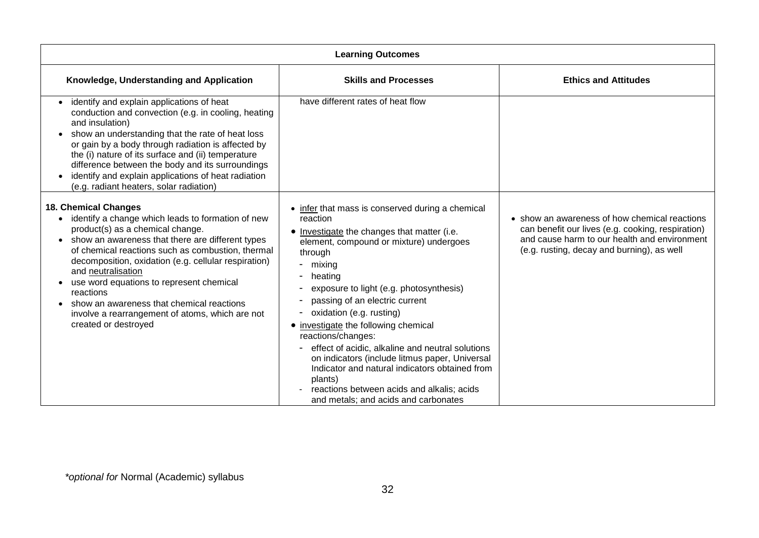| <b>Learning Outcomes</b>                                                                                                                                                                                                                                                                                                                                                                                                                                                                                               |                                                                                                                                                                                                                                                                                                                                                                                                                                                                                                                                                                                                                          |                                                                                                                                                                                                  |
|------------------------------------------------------------------------------------------------------------------------------------------------------------------------------------------------------------------------------------------------------------------------------------------------------------------------------------------------------------------------------------------------------------------------------------------------------------------------------------------------------------------------|--------------------------------------------------------------------------------------------------------------------------------------------------------------------------------------------------------------------------------------------------------------------------------------------------------------------------------------------------------------------------------------------------------------------------------------------------------------------------------------------------------------------------------------------------------------------------------------------------------------------------|--------------------------------------------------------------------------------------------------------------------------------------------------------------------------------------------------|
| Knowledge, Understanding and Application                                                                                                                                                                                                                                                                                                                                                                                                                                                                               | <b>Skills and Processes</b>                                                                                                                                                                                                                                                                                                                                                                                                                                                                                                                                                                                              | <b>Ethics and Attitudes</b>                                                                                                                                                                      |
| identify and explain applications of heat<br>conduction and convection (e.g. in cooling, heating<br>and insulation)<br>show an understanding that the rate of heat loss<br>or gain by a body through radiation is affected by<br>the (i) nature of its surface and (ii) temperature<br>difference between the body and its surroundings<br>identify and explain applications of heat radiation<br>(e.g. radiant heaters, solar radiation)                                                                              | have different rates of heat flow                                                                                                                                                                                                                                                                                                                                                                                                                                                                                                                                                                                        |                                                                                                                                                                                                  |
| <b>18. Chemical Changes</b><br>identify a change which leads to formation of new<br>$\bullet$<br>product(s) as a chemical change.<br>show an awareness that there are different types<br>$\bullet$<br>of chemical reactions such as combustion, thermal<br>decomposition, oxidation (e.g. cellular respiration)<br>and neutralisation<br>use word equations to represent chemical<br>reactions<br>show an awareness that chemical reactions<br>involve a rearrangement of atoms, which are not<br>created or destroyed | • infer that mass is conserved during a chemical<br>reaction<br>• Investigate the changes that matter (i.e.<br>element, compound or mixture) undergoes<br>through<br>- mixing<br>heating<br>exposure to light (e.g. photosynthesis)<br>passing of an electric current<br>oxidation (e.g. rusting)<br>• investigate the following chemical<br>reactions/changes:<br>effect of acidic, alkaline and neutral solutions<br>on indicators (include litmus paper, Universal<br>Indicator and natural indicators obtained from<br>plants)<br>reactions between acids and alkalis; acids<br>and metals; and acids and carbonates | • show an awareness of how chemical reactions<br>can benefit our lives (e.g. cooking, respiration)<br>and cause harm to our health and environment<br>(e.g. rusting, decay and burning), as well |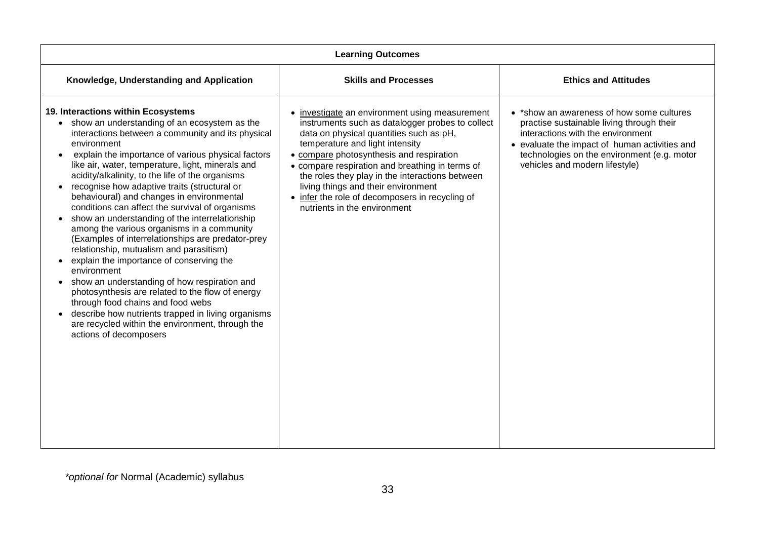| <b>Learning Outcomes</b>                                                                                                                                                                                                                                                                                                                                                                                                                                                                                                                                                                                                                                                                                                                                                                                                                                                                                                                                                                                                                  |                                                                                                                                                                                                                                                                                                                                                                                                                                                            |                                                                                                                                                                                                                                                               |  |  |  |
|-------------------------------------------------------------------------------------------------------------------------------------------------------------------------------------------------------------------------------------------------------------------------------------------------------------------------------------------------------------------------------------------------------------------------------------------------------------------------------------------------------------------------------------------------------------------------------------------------------------------------------------------------------------------------------------------------------------------------------------------------------------------------------------------------------------------------------------------------------------------------------------------------------------------------------------------------------------------------------------------------------------------------------------------|------------------------------------------------------------------------------------------------------------------------------------------------------------------------------------------------------------------------------------------------------------------------------------------------------------------------------------------------------------------------------------------------------------------------------------------------------------|---------------------------------------------------------------------------------------------------------------------------------------------------------------------------------------------------------------------------------------------------------------|--|--|--|
| Knowledge, Understanding and Application                                                                                                                                                                                                                                                                                                                                                                                                                                                                                                                                                                                                                                                                                                                                                                                                                                                                                                                                                                                                  | <b>Skills and Processes</b>                                                                                                                                                                                                                                                                                                                                                                                                                                | <b>Ethics and Attitudes</b>                                                                                                                                                                                                                                   |  |  |  |
| 19. Interactions within Ecosystems<br>• show an understanding of an ecosystem as the<br>interactions between a community and its physical<br>environment<br>explain the importance of various physical factors<br>$\bullet$<br>like air, water, temperature, light, minerals and<br>acidity/alkalinity, to the life of the organisms<br>recognise how adaptive traits (structural or<br>behavioural) and changes in environmental<br>conditions can affect the survival of organisms<br>show an understanding of the interrelationship<br>among the various organisms in a community<br>(Examples of interrelationships are predator-prey<br>relationship, mutualism and parasitism)<br>explain the importance of conserving the<br>environment<br>show an understanding of how respiration and<br>photosynthesis are related to the flow of energy<br>through food chains and food webs<br>describe how nutrients trapped in living organisms<br>$\bullet$<br>are recycled within the environment, through the<br>actions of decomposers | investigate an environment using measurement<br>instruments such as datalogger probes to collect<br>data on physical quantities such as pH,<br>temperature and light intensity<br>• compare photosynthesis and respiration<br>• compare respiration and breathing in terms of<br>the roles they play in the interactions between<br>living things and their environment<br>• infer the role of decomposers in recycling of<br>nutrients in the environment | • *show an awareness of how some cultures<br>practise sustainable living through their<br>interactions with the environment<br>• evaluate the impact of human activities and<br>technologies on the environment (e.g. motor<br>vehicles and modern lifestyle) |  |  |  |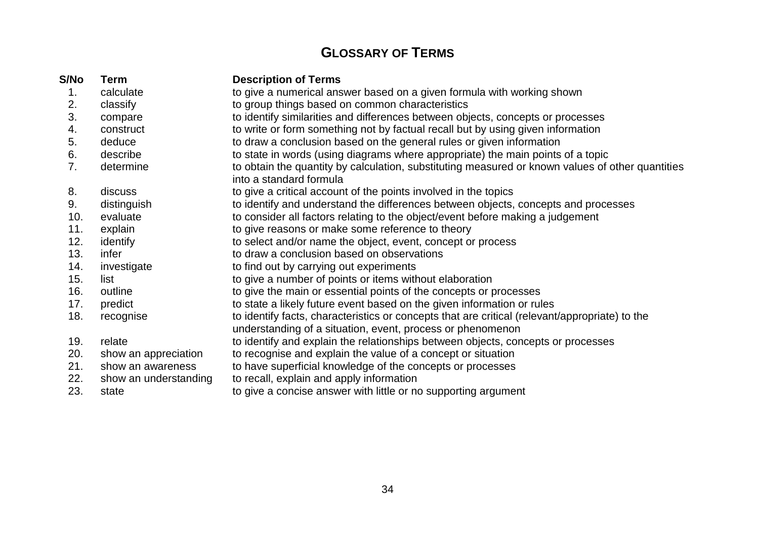### **GLOSSARY OF TERMS**

| S/No | <b>Term</b>           | <b>Description of Terms</b>                                                                                                                                  |  |
|------|-----------------------|--------------------------------------------------------------------------------------------------------------------------------------------------------------|--|
| 1.   | calculate             | to give a numerical answer based on a given formula with working shown                                                                                       |  |
| 2.   | classify              | to group things based on common characteristics                                                                                                              |  |
| 3.   | compare               | to identify similarities and differences between objects, concepts or processes                                                                              |  |
| 4.   | construct             | to write or form something not by factual recall but by using given information                                                                              |  |
| 5.   | deduce                | to draw a conclusion based on the general rules or given information                                                                                         |  |
| 6.   | describe              | to state in words (using diagrams where appropriate) the main points of a topic                                                                              |  |
| 7.   | determine             | to obtain the quantity by calculation, substituting measured or known values of other quantities<br>into a standard formula                                  |  |
| 8.   | discuss               | to give a critical account of the points involved in the topics                                                                                              |  |
| 9.   | distinguish           | to identify and understand the differences between objects, concepts and processes                                                                           |  |
| 10.  | evaluate              | to consider all factors relating to the object/event before making a judgement                                                                               |  |
| 11.  | explain               | to give reasons or make some reference to theory                                                                                                             |  |
| 12.  | identify              | to select and/or name the object, event, concept or process                                                                                                  |  |
| 13.  | infer                 | to draw a conclusion based on observations                                                                                                                   |  |
| 14.  | investigate           | to find out by carrying out experiments                                                                                                                      |  |
| 15.  | list                  | to give a number of points or items without elaboration                                                                                                      |  |
| 16.  | outline               | to give the main or essential points of the concepts or processes                                                                                            |  |
| 17.  | predict               | to state a likely future event based on the given information or rules                                                                                       |  |
| 18.  | recognise             | to identify facts, characteristics or concepts that are critical (relevant/appropriate) to the<br>understanding of a situation, event, process or phenomenon |  |
| 19.  | relate                | to identify and explain the relationships between objects, concepts or processes                                                                             |  |
| 20.  | show an appreciation  | to recognise and explain the value of a concept or situation                                                                                                 |  |
| 21.  | show an awareness     | to have superficial knowledge of the concepts or processes                                                                                                   |  |
| 22.  | show an understanding | to recall, explain and apply information                                                                                                                     |  |
| 23.  | state                 | to give a concise answer with little or no supporting argument                                                                                               |  |